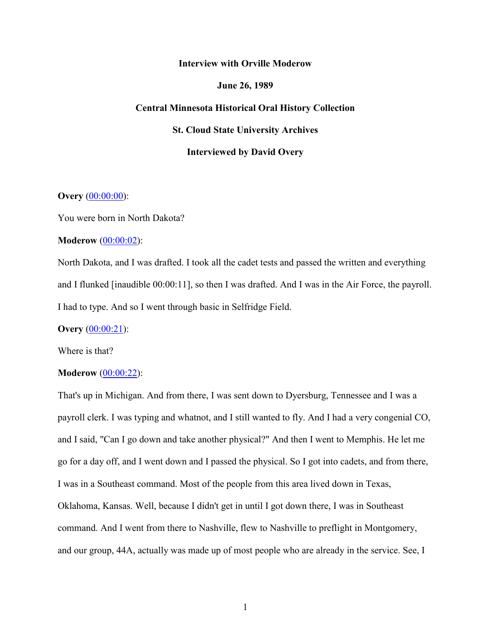### **Interview with Orville Moderow**

### **June 26, 1989**

### **Central Minnesota Historical Oral History Collection**

**St. Cloud State University Archives**

### **Interviewed by David Overy**

# **Overy** (00:00:00):

You were born in North Dakota?

## **Moderow** (00:00:02):

North Dakota, and I was drafted. I took all the cadet tests and passed the written and everything and I flunked [inaudible 00:00:11], so then I was drafted. And I was in the Air Force, the payroll. I had to type. And so I went through basic in Selfridge Field.

**Overy** [\(00:00:21\)](https://www.rev.com/transcript-editor/Edit?token=_2zskvZZOt5QbvlaSl3wvRguMr9mKvsI-kIGVkW5u_-5pU5WZvuORWpZoEo0bsu-JycaaBTsJLgUqSFYgTkjymDl8rI&loadFrom=DocumentDeeplink&ts=21.93):

Where is that?

# **Moderow** [\(00:00:22\)](https://www.rev.com/transcript-editor/Edit?token=8GBliP6tY43xLIdisG0r35VW5zTqPnzEgc49-_AYt0njAx8xA5XmnyjjLgCPaWpMfr3maXYUVcJyP-iDYyOJkmjG2t0&loadFrom=DocumentDeeplink&ts=22.91):

That's up in Michigan. And from there, I was sent down to Dyersburg, Tennessee and I was a payroll clerk. I was typing and whatnot, and I still wanted to fly. And I had a very congenial CO, and I said, "Can I go down and take another physical?" And then I went to Memphis. He let me go for a day off, and I went down and I passed the physical. So I got into cadets, and from there, I was in a Southeast command. Most of the people from this area lived down in Texas, Oklahoma, Kansas. Well, because I didn't get in until I got down there, I was in Southeast command. And I went from there to Nashville, flew to Nashville to preflight in Montgomery, and our group, 44A, actually was made up of most people who are already in the service. See, I

1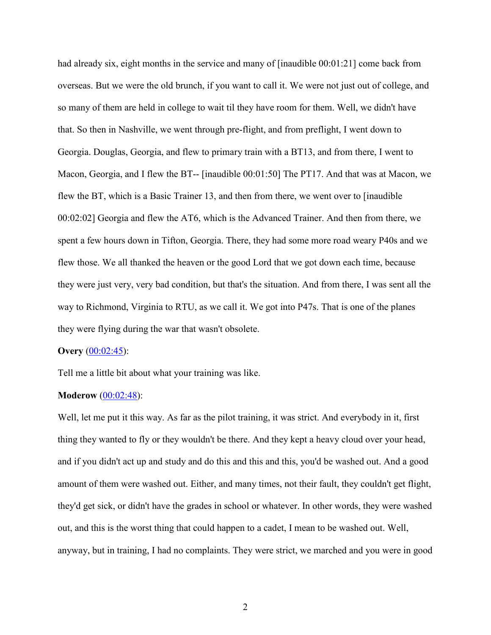had already six, eight months in the service and many of [inaudible 00:01:21] come back from overseas. But we were the old brunch, if you want to call it. We were not just out of college, and so many of them are held in college to wait til they have room for them. Well, we didn't have that. So then in Nashville, we went through pre-flight, and from preflight, I went down to Georgia. Douglas, Georgia, and flew to primary train with a BT13, and from there, I went to Macon, Georgia, and I flew the BT-- [inaudible 00:01:50] The PT17. And that was at Macon, we flew the BT, which is a Basic Trainer 13, and then from there, we went over to [inaudible 00:02:02] Georgia and flew the AT6, which is the Advanced Trainer. And then from there, we spent a few hours down in Tifton, Georgia. There, they had some more road weary P40s and we flew those. We all thanked the heaven or the good Lord that we got down each time, because they were just very, very bad condition, but that's the situation. And from there, I was sent all the way to Richmond, Virginia to RTU, as we call it. We got into P47s. That is one of the planes they were flying during the war that wasn't obsolete.

## **Overy** [\(00:02:45\)](https://www.rev.com/transcript-editor/Edit?token=9utWWBnUs4pZ_ZwoqsjVgvry86IPOx5ifE6V49YT5Mv7_ERDqeMZ2cY8jvbjtp1k-bgqgCBgjGUoZ09geygosRs68wY&loadFrom=DocumentDeeplink&ts=165.62):

Tell me a little bit about what your training was like.

## **Moderow** [\(00:02:48\)](https://www.rev.com/transcript-editor/Edit?token=TanuScTnW1RWbxTG0gHMBxJ43us2VeweZU8T8lkhJnTNXE1DvZbD-8zFwZD6emtjCi3asVYXSooXcZ0GFFsQC6prABM&loadFrom=DocumentDeeplink&ts=168.47):

Well, let me put it this way. As far as the pilot training, it was strict. And everybody in it, first thing they wanted to fly or they wouldn't be there. And they kept a heavy cloud over your head, and if you didn't act up and study and do this and this and this, you'd be washed out. And a good amount of them were washed out. Either, and many times, not their fault, they couldn't get flight, they'd get sick, or didn't have the grades in school or whatever. In other words, they were washed out, and this is the worst thing that could happen to a cadet, I mean to be washed out. Well, anyway, but in training, I had no complaints. They were strict, we marched and you were in good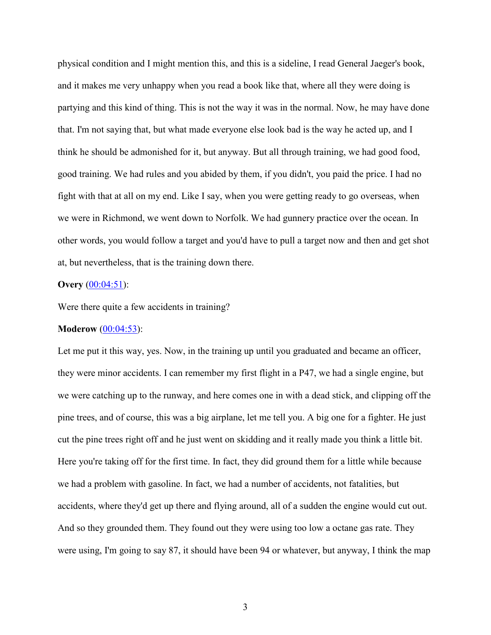physical condition and I might mention this, and this is a sideline, I read General Jaeger's book, and it makes me very unhappy when you read a book like that, where all they were doing is partying and this kind of thing. This is not the way it was in the normal. Now, he may have done that. I'm not saying that, but what made everyone else look bad is the way he acted up, and I think he should be admonished for it, but anyway. But all through training, we had good food, good training. We had rules and you abided by them, if you didn't, you paid the price. I had no fight with that at all on my end. Like I say, when you were getting ready to go overseas, when we were in Richmond, we went down to Norfolk. We had gunnery practice over the ocean. In other words, you would follow a target and you'd have to pull a target now and then and get shot at, but nevertheless, that is the training down there.

# **Overy** [\(00:04:51\)](https://www.rev.com/transcript-editor/Edit?token=gB_jbtBbY0nf6LQHEyHvCRYF_F0bNhcOjC5uaYwiHBDkkfdtdJxbeVjn-Uz5LTK4c2f_3ZIqYb1Hmt-Wvx41WdX0TjE&loadFrom=DocumentDeeplink&ts=291.12):

Were there quite a few accidents in training?

### **Moderow** [\(00:04:53\)](https://www.rev.com/transcript-editor/Edit?token=S6VYV9Yj4J4GINi4x08ZQaflk1D_y5d9IfqA8LHKXWGFiexbvsuP4w7xpX9Zj8jxQbX3c6McpSsXVuZQzQ0k5vT35dU&loadFrom=DocumentDeeplink&ts=293.49):

Let me put it this way, yes. Now, in the training up until you graduated and became an officer, they were minor accidents. I can remember my first flight in a P47, we had a single engine, but we were catching up to the runway, and here comes one in with a dead stick, and clipping off the pine trees, and of course, this was a big airplane, let me tell you. A big one for a fighter. He just cut the pine trees right off and he just went on skidding and it really made you think a little bit. Here you're taking off for the first time. In fact, they did ground them for a little while because we had a problem with gasoline. In fact, we had a number of accidents, not fatalities, but accidents, where they'd get up there and flying around, all of a sudden the engine would cut out. And so they grounded them. They found out they were using too low a octane gas rate. They were using, I'm going to say 87, it should have been 94 or whatever, but anyway, I think the map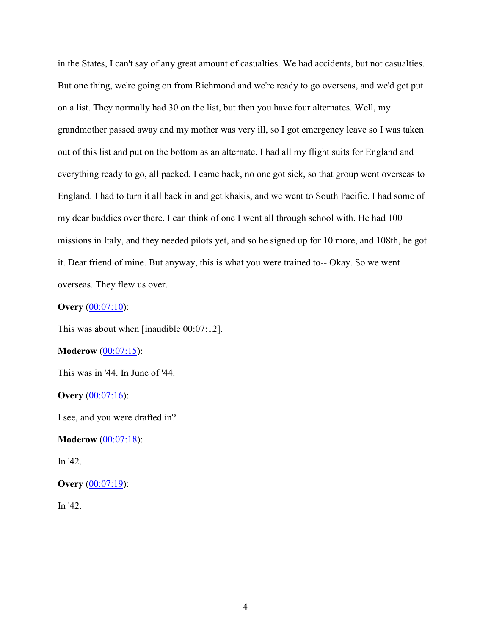in the States, I can't say of any great amount of casualties. We had accidents, but not casualties. But one thing, we're going on from Richmond and we're ready to go overseas, and we'd get put on a list. They normally had 30 on the list, but then you have four alternates. Well, my grandmother passed away and my mother was very ill, so I got emergency leave so I was taken out of this list and put on the bottom as an alternate. I had all my flight suits for England and everything ready to go, all packed. I came back, no one got sick, so that group went overseas to England. I had to turn it all back in and get khakis, and we went to South Pacific. I had some of my dear buddies over there. I can think of one I went all through school with. He had 100 missions in Italy, and they needed pilots yet, and so he signed up for 10 more, and 108th, he got it. Dear friend of mine. But anyway, this is what you were trained to-- Okay. So we went overseas. They flew us over.

# **Overy** [\(00:07:10\)](https://www.rev.com/transcript-editor/Edit?token=yOgwl-7gW8X0OA8qD_HveoE1RJIRXxrV4Msq1HNjdv9R9zlL-mK01Z1JimsFNeNOORjohc_TCA1XhBLuWmoDlWMtYr8&loadFrom=DocumentDeeplink&ts=430.41):

This was about when [inaudible 00:07:12].

# **Moderow** [\(00:07:15\)](https://www.rev.com/transcript-editor/Edit?token=sLECd-4wyneJ-MuFYAheYdk25uQlPJaDCaS3haidS9QzWclGuHidmDBauDHLBEns0O2jGpHQCVotXHiXBPcdChH8sb4&loadFrom=DocumentDeeplink&ts=435.07):

This was in '44. In June of '44.

# **Overy** [\(00:07:16\)](https://www.rev.com/transcript-editor/Edit?token=u9HTsSCV2cFAddvQDXQd6VGCMbNdE0NEgbOyPk4smxQMP0d2fft7gHRe3OudS6gYuhI6ZMrrKkWlaFmUaMFTBIIAZuQ&loadFrom=DocumentDeeplink&ts=436.22):

I see, and you were drafted in?

# **Moderow** [\(00:07:18\)](https://www.rev.com/transcript-editor/Edit?token=qjR0Pr3f1PaTx-MWCiLSHVdb32vhP3geNIQwp7sKsaGQFigWmMJrkFtPKkuvs191MNZWz0IfpQj8FkaWe9NwAoO1mRc&loadFrom=DocumentDeeplink&ts=438.49):

In '42.

# **Overy** [\(00:07:19\)](https://www.rev.com/transcript-editor/Edit?token=H7nsEstCcPhs_c4RdQM0ZcjGakVHlxb4AY1TB9WKWrnKvBYxNNHvoqvj5bJz4TkH_eQhXO9l6Ft5IasridF3okTN4mc&loadFrom=DocumentDeeplink&ts=439.07):

In '42.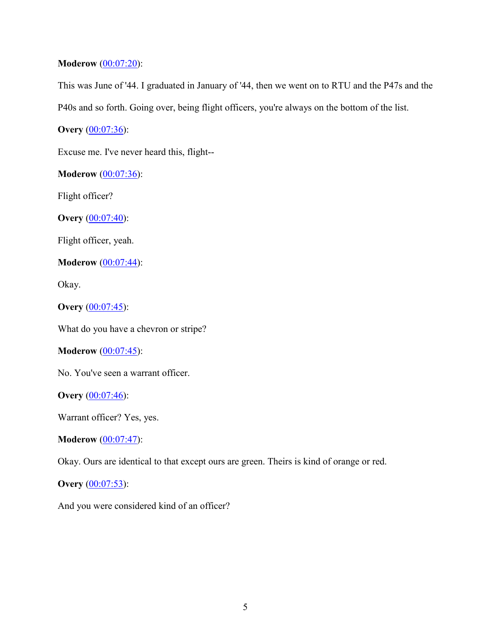# **Moderow** [\(00:07:20\)](https://www.rev.com/transcript-editor/Edit?token=MZv9bSzuDtjGsFJd4xQ0FJKALJygyJ8XGYuXcaHWDWViZccvgLqJfnbvZGS9zwmyD7_EBGsJLL6lXvLRItH_y6bLpvY&loadFrom=DocumentDeeplink&ts=440.68):

This was June of '44. I graduated in January of '44, then we went on to RTU and the P47s and the

P40s and so forth. Going over, being flight officers, you're always on the bottom of the list.

**Overy** [\(00:07:36\)](https://www.rev.com/transcript-editor/Edit?token=yDNTmYJy4KWNBxeiT5rSOoQAqhhXcBH7h4HiV5POFC3AnwbfRahEpppPYKfZDSK7RUQXLrKuTpnjEVWhVPeeitY8Uk8&loadFrom=DocumentDeeplink&ts=456.6):

Excuse me. I've never heard this, flight--

**Moderow** [\(00:07:36\)](https://www.rev.com/transcript-editor/Edit?token=wid1JtdvXOfcb_TmbHX8oj9ghCS4vH2Zj7V-sBDmjQlCqTdeGW8YRapVZrkY6R3puzhD_F28XKzkGf8ZYhw_9fEJjfk&loadFrom=DocumentDeeplink&ts=456.6):

Flight officer?

**Overy** [\(00:07:40\)](https://www.rev.com/transcript-editor/Edit?token=2V6_C1h4Urn4Ry-xCNfjfDWlMVJ7egwJHsfF_gbFjeWvzcy3l9DNwEP6-m1FwExN0WFwnk455PZ0TnUPZPQJINFvrUc&loadFrom=DocumentDeeplink&ts=460.42):

Flight officer, yeah.

**Moderow** [\(00:07:44\)](https://www.rev.com/transcript-editor/Edit?token=LV8tlSrkc-woCDLY6C3PHm_zJA0bdNhacrCdVSLqeMjbXiK6HnCOS9utkc3q1A7AFXVwYn_FVfQ6_eufXnmyBF-FSSM&loadFrom=DocumentDeeplink&ts=464.7):

Okay.

**Overy** [\(00:07:45\)](https://www.rev.com/transcript-editor/Edit?token=Lmb7i_RpPnY8ZecSRrfM6oAIjz23R8yhgaeWnD9-FcwToJK8Ia_OPJCbSY1oo5q1gS9JCuE3zwsMOrL9_-xOebL8ckU&loadFrom=DocumentDeeplink&ts=465):

What do you have a chevron or stripe?

**Moderow** [\(00:07:45\)](https://www.rev.com/transcript-editor/Edit?token=3W4Von6-adQNDn0ofo1f4t8qTIfdOBbSmqAkUNZax4nJB1az0OhT5ue22Y4RcBxNbriKCN9GNkMOuATucSrrPSYIbFc&loadFrom=DocumentDeeplink&ts=465.05):

No. You've seen a warrant officer.

**Overy** [\(00:07:46\)](https://www.rev.com/transcript-editor/Edit?token=XHnVdKqv6EdqLEMtmxed-uEgWnumlBpXXN_tjYwqop55bRE0FuYCLXOyJEIolLcKZrgwPLmPVlsrGv5jSiBvH4Dq5u8&loadFrom=DocumentDeeplink&ts=466.02):

Warrant officer? Yes, yes.

**Moderow** [\(00:07:47\)](https://www.rev.com/transcript-editor/Edit?token=2ts0t2ldFfHre_jD3NzOxpABs1uiPSAXxDulmEIn3XFuuuQhAoS125SGgsZlPKeKefaRjMoKmczZSe7HI0DSU86EDxY&loadFrom=DocumentDeeplink&ts=467.37):

Okay. Ours are identical to that except ours are green. Theirs is kind of orange or red.

**Overy** [\(00:07:53\)](https://www.rev.com/transcript-editor/Edit?token=w342zm1hky6EpPY0Fbydq8QnQo6b0whuU4PLOqLzEOvrKCKftdGlDKtmUxttZ1P2dHF_5esG0DEsqkxQWQ7fdl9JFnY&loadFrom=DocumentDeeplink&ts=473.04):

And you were considered kind of an officer?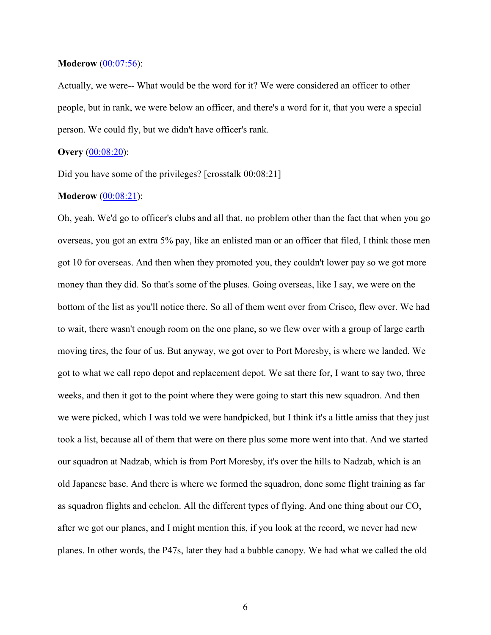### **Moderow** [\(00:07:56\)](https://www.rev.com/transcript-editor/Edit?token=L1byi_zf-9_qcSUMah-76KY7H0le7NDsSm6IcjOkaP6kXLLkXinu2uTawaaCYP8xsuKrhXISQOKfXiXJwnZ5DkC-fbY&loadFrom=DocumentDeeplink&ts=476.47):

Actually, we were-- What would be the word for it? We were considered an officer to other people, but in rank, we were below an officer, and there's a word for it, that you were a special person. We could fly, but we didn't have officer's rank.

# **Overy** [\(00:08:20\)](https://www.rev.com/transcript-editor/Edit?token=bnaSouWxIW1ivk8ccV2Vrt7cQ2hhZdJnXcjZhouygOLpaSodB8XQQue0kXZy1YVtPUsbMsKlr6Z7cWcjiIOq0kaRBN8&loadFrom=DocumentDeeplink&ts=500.05):

Did you have some of the privileges? [crosstalk  $00:08:21$ ]

# **Moderow** [\(00:08:21\)](https://www.rev.com/transcript-editor/Edit?token=wVYUd7DtbsN8G8iHHOzdIEMMRMFoCm3o4iK0Yag0r_1HmiFMwAEmA4vVp7MYYtjp8buZzwT7toUQ4kplln4ny_Z3Cfw&loadFrom=DocumentDeeplink&ts=501.47):

Oh, yeah. We'd go to officer's clubs and all that, no problem other than the fact that when you go overseas, you got an extra 5% pay, like an enlisted man or an officer that filed, I think those men got 10 for overseas. And then when they promoted you, they couldn't lower pay so we got more money than they did. So that's some of the pluses. Going overseas, like I say, we were on the bottom of the list as you'll notice there. So all of them went over from Crisco, flew over. We had to wait, there wasn't enough room on the one plane, so we flew over with a group of large earth moving tires, the four of us. But anyway, we got over to Port Moresby, is where we landed. We got to what we call repo depot and replacement depot. We sat there for, I want to say two, three weeks, and then it got to the point where they were going to start this new squadron. And then we were picked, which I was told we were handpicked, but I think it's a little amiss that they just took a list, because all of them that were on there plus some more went into that. And we started our squadron at Nadzab, which is from Port Moresby, it's over the hills to Nadzab, which is an old Japanese base. And there is where we formed the squadron, done some flight training as far as squadron flights and echelon. All the different types of flying. And one thing about our CO, after we got our planes, and I might mention this, if you look at the record, we never had new planes. In other words, the P47s, later they had a bubble canopy. We had what we called the old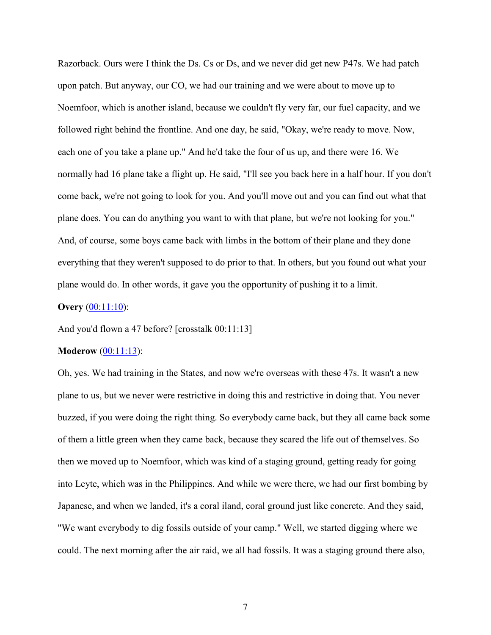Razorback. Ours were I think the Ds. Cs or Ds, and we never did get new P47s. We had patch upon patch. But anyway, our CO, we had our training and we were about to move up to Noemfoor, which is another island, because we couldn't fly very far, our fuel capacity, and we followed right behind the frontline. And one day, he said, "Okay, we're ready to move. Now, each one of you take a plane up." And he'd take the four of us up, and there were 16. We normally had 16 plane take a flight up. He said, "I'll see you back here in a half hour. If you don't come back, we're not going to look for you. And you'll move out and you can find out what that plane does. You can do anything you want to with that plane, but we're not looking for you." And, of course, some boys came back with limbs in the bottom of their plane and they done everything that they weren't supposed to do prior to that. In others, but you found out what your plane would do. In other words, it gave you the opportunity of pushing it to a limit.

### **Overy** [\(00:11:10\)](https://www.rev.com/transcript-editor/Edit?token=cnG7vmvrk9r741kyb8aXcSKyDg7fLHxNjW2Z31mwdesuXcMgpqO08-vx2m0Ws6ULJk1kI0d1mkJ3ZvynpR_WpzjtW50&loadFrom=DocumentDeeplink&ts=670.35):

And you'd flown a 47 before? [crosstalk 00:11:13]

#### **Moderow** [\(00:11:13\)](https://www.rev.com/transcript-editor/Edit?token=In9UhcNMyb_QQlDzBcSaQYc0VTkvzuluylqbudrqUBLqm-p7XZ2qNJLKlsdw6xypocFc3UV7X2DBRoU6G-Lo5u3-0b4&loadFrom=DocumentDeeplink&ts=673.36):

Oh, yes. We had training in the States, and now we're overseas with these 47s. It wasn't a new plane to us, but we never were restrictive in doing this and restrictive in doing that. You never buzzed, if you were doing the right thing. So everybody came back, but they all came back some of them a little green when they came back, because they scared the life out of themselves. So then we moved up to Noemfoor, which was kind of a staging ground, getting ready for going into Leyte, which was in the Philippines. And while we were there, we had our first bombing by Japanese, and when we landed, it's a coral iland, coral ground just like concrete. And they said, "We want everybody to dig fossils outside of your camp." Well, we started digging where we could. The next morning after the air raid, we all had fossils. It was a staging ground there also,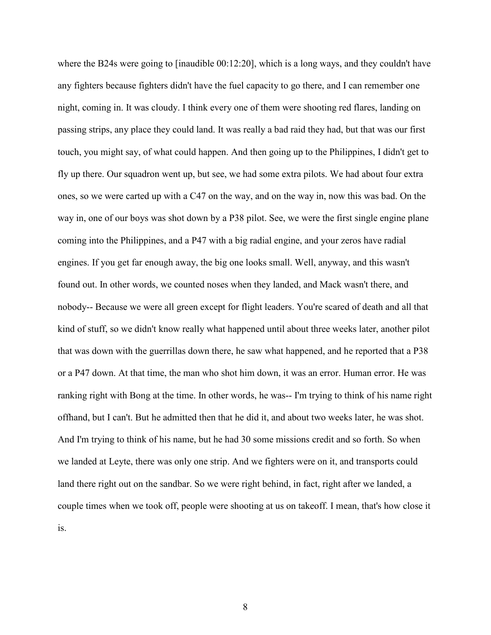where the B24s were going to [inaudible 00:12:20], which is a long ways, and they couldn't have any fighters because fighters didn't have the fuel capacity to go there, and I can remember one night, coming in. It was cloudy. I think every one of them were shooting red flares, landing on passing strips, any place they could land. It was really a bad raid they had, but that was our first touch, you might say, of what could happen. And then going up to the Philippines, I didn't get to fly up there. Our squadron went up, but see, we had some extra pilots. We had about four extra ones, so we were carted up with a C47 on the way, and on the way in, now this was bad. On the way in, one of our boys was shot down by a P38 pilot. See, we were the first single engine plane coming into the Philippines, and a P47 with a big radial engine, and your zeros have radial engines. If you get far enough away, the big one looks small. Well, anyway, and this wasn't found out. In other words, we counted noses when they landed, and Mack wasn't there, and nobody-- Because we were all green except for flight leaders. You're scared of death and all that kind of stuff, so we didn't know really what happened until about three weeks later, another pilot that was down with the guerrillas down there, he saw what happened, and he reported that a P38 or a P47 down. At that time, the man who shot him down, it was an error. Human error. He was ranking right with Bong at the time. In other words, he was-- I'm trying to think of his name right offhand, but I can't. But he admitted then that he did it, and about two weeks later, he was shot. And I'm trying to think of his name, but he had 30 some missions credit and so forth. So when we landed at Leyte, there was only one strip. And we fighters were on it, and transports could land there right out on the sandbar. So we were right behind, in fact, right after we landed, a couple times when we took off, people were shooting at us on takeoff. I mean, that's how close it is.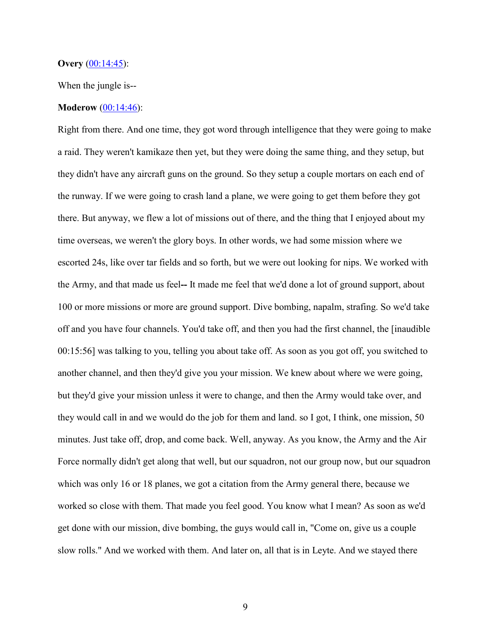### **Overy** [\(00:14:45\)](https://www.rev.com/transcript-editor/Edit?token=lHF8E0uiWewGhGMXBOsJynk1GXBjYE5s8-JWujBeYn4mcXdJR8ysdA5l5R8oe1aIErZupNhH7abyCEbmq5o94OTiWes&loadFrom=DocumentDeeplink&ts=885.7):

When the jungle is--

### **Moderow** [\(00:14:46\)](https://www.rev.com/transcript-editor/Edit?token=p9xAsY2ySNUCKUMnLoyhIqg0glC8c2ZYfFmj7dagEEWD0MM5IwUBpxcAxOiwildYXgzAuZMt7ydieksOPBAD-zOj3ws&loadFrom=DocumentDeeplink&ts=886.04):

Right from there. And one time, they got word through intelligence that they were going to make a raid. They weren't kamikaze then yet, but they were doing the same thing, and they setup, but they didn't have any aircraft guns on the ground. So they setup a couple mortars on each end of the runway. If we were going to crash land a plane, we were going to get them before they got there. But anyway, we flew a lot of missions out of there, and the thing that I enjoyed about my time overseas, we weren't the glory boys. In other words, we had some mission where we escorted 24s, like over tar fields and so forth, but we were out looking for nips. We worked with the Army, and that made us feel**--** It made me feel that we'd done a lot of ground support, about 100 or more missions or more are ground support. Dive bombing, napalm, strafing. So we'd take off and you have four channels. You'd take off, and then you had the first channel, the [inaudible 00:15:56] was talking to you, telling you about take off. As soon as you got off, you switched to another channel, and then they'd give you your mission. We knew about where we were going, but they'd give your mission unless it were to change, and then the Army would take over, and they would call in and we would do the job for them and land. so I got, I think, one mission, 50 minutes. Just take off, drop, and come back. Well, anyway. As you know, the Army and the Air Force normally didn't get along that well, but our squadron, not our group now, but our squadron which was only 16 or 18 planes, we got a citation from the Army general there, because we worked so close with them. That made you feel good. You know what I mean? As soon as we'd get done with our mission, dive bombing, the guys would call in, "Come on, give us a couple slow rolls." And we worked with them. And later on, all that is in Leyte. And we stayed there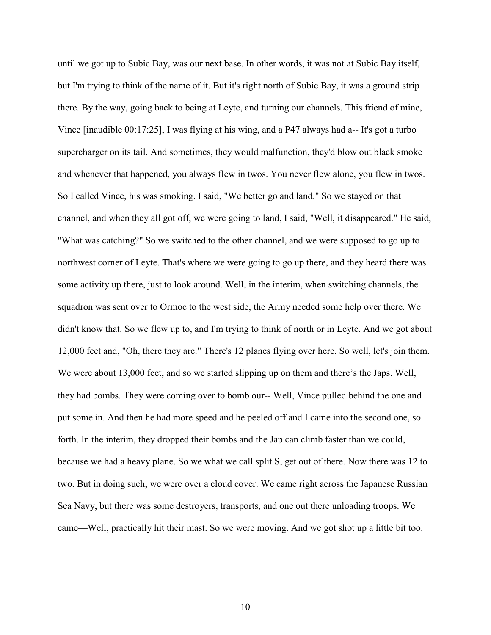until we got up to Subic Bay, was our next base. In other words, it was not at Subic Bay itself, but I'm trying to think of the name of it. But it's right north of Subic Bay, it was a ground strip there. By the way, going back to being at Leyte, and turning our channels. This friend of mine, Vince [inaudible 00:17:25], I was flying at his wing, and a P47 always had a-- It's got a turbo supercharger on its tail. And sometimes, they would malfunction, they'd blow out black smoke and whenever that happened, you always flew in twos. You never flew alone, you flew in twos. So I called Vince, his was smoking. I said, "We better go and land." So we stayed on that channel, and when they all got off, we were going to land, I said, "Well, it disappeared." He said, "What was catching?" So we switched to the other channel, and we were supposed to go up to northwest corner of Leyte. That's where we were going to go up there, and they heard there was some activity up there, just to look around. Well, in the interim, when switching channels, the squadron was sent over to Ormoc to the west side, the Army needed some help over there. We didn't know that. So we flew up to, and I'm trying to think of north or in Leyte. And we got about 12,000 feet and, "Oh, there they are." There's 12 planes flying over here. So well, let's join them. We were about 13,000 feet, and so we started slipping up on them and there's the Japs. Well, they had bombs. They were coming over to bomb our-- Well, Vince pulled behind the one and put some in. And then he had more speed and he peeled off and I came into the second one, so forth. In the interim, they dropped their bombs and the Jap can climb faster than we could, because we had a heavy plane. So we what we call split S, get out of there. Now there was 12 to two. But in doing such, we were over a cloud cover. We came right across the Japanese Russian Sea Navy, but there was some destroyers, transports, and one out there unloading troops. We came—Well, practically hit their mast. So we were moving. And we got shot up a little bit too.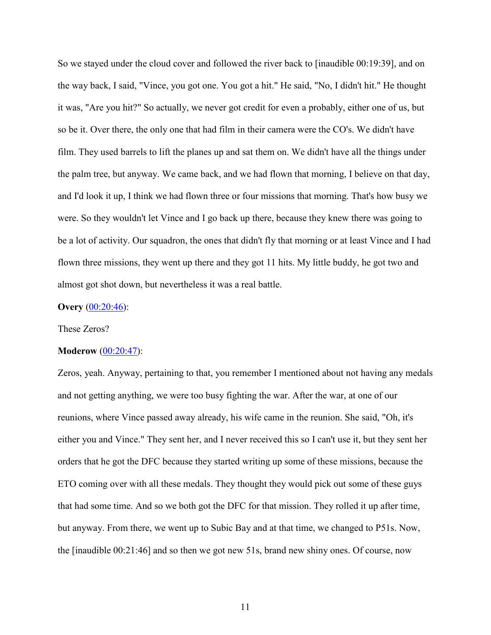So we stayed under the cloud cover and followed the river back to [inaudible 00:19:39], and on the way back, I said, "Vince, you got one. You got a hit." He said, "No, I didn't hit." He thought it was, "Are you hit?" So actually, we never got credit for even a probably, either one of us, but so be it. Over there, the only one that had film in their camera were the CO's. We didn't have film. They used barrels to lift the planes up and sat them on. We didn't have all the things under the palm tree, but anyway. We came back, and we had flown that morning, I believe on that day, and I'd look it up, I think we had flown three or four missions that morning. That's how busy we were. So they wouldn't let Vince and I go back up there, because they knew there was going to be a lot of activity. Our squadron, the ones that didn't fly that morning or at least Vince and I had flown three missions, they went up there and they got 11 hits. My little buddy, he got two and almost got shot down, but nevertheless it was a real battle.

### **Overy** [\(00:20:46\)](https://www.rev.com/transcript-editor/Edit?token=RAdi8yjXviRtTL-Bs-XPqLF1yr-X3oDA0voLryBx2b4PXbpEJGY7iD555OofHuQg11Y9YRu3Rt_O5txze56cCsyTBAo&loadFrom=DocumentDeeplink&ts=1246.52):

# These Zeros?

#### **Moderow** [\(00:20:47\)](https://www.rev.com/transcript-editor/Edit?token=69XH5on3hW-3MxgJiBJA-t46b5LoFhbVbrwEk0s7GvNMQef3y_hZ98X6s5VqOwHOBTWRhvMtT4izRRJeH_q9-XOJKdU&loadFrom=DocumentDeeplink&ts=1247.7):

Zeros, yeah. Anyway, pertaining to that, you remember I mentioned about not having any medals and not getting anything, we were too busy fighting the war. After the war, at one of our reunions, where Vince passed away already, his wife came in the reunion. She said, "Oh, it's either you and Vince." They sent her, and I never received this so I can't use it, but they sent her orders that he got the DFC because they started writing up some of these missions, because the ETO coming over with all these medals. They thought they would pick out some of these guys that had some time. And so we both got the DFC for that mission. They rolled it up after time, but anyway. From there, we went up to Subic Bay and at that time, we changed to P51s. Now, the [inaudible 00:21:46] and so then we got new 51s, brand new shiny ones. Of course, now

11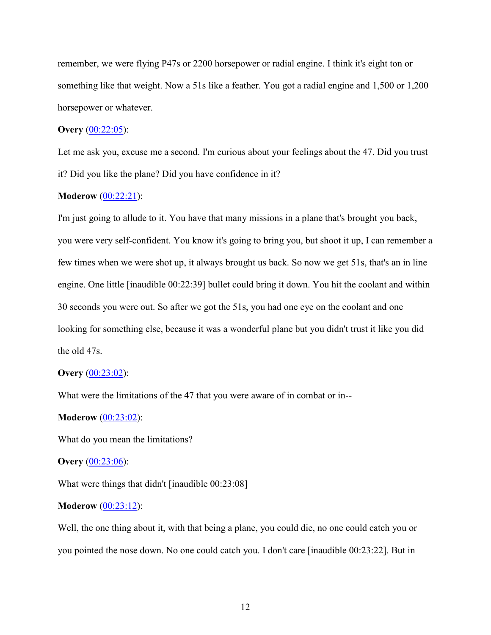remember, we were flying P47s or 2200 horsepower or radial engine. I think it's eight ton or something like that weight. Now a 51s like a feather. You got a radial engine and 1,500 or 1,200 horsepower or whatever.

# **Overy** [\(00:22:05\)](https://www.rev.com/transcript-editor/Edit?token=r9xgEnOwTHJg8M-3qhLYhpdGX8c4lePLZBycvCe0E0J0reg2tveo4uxcyYzS2yUneGt0YqvSvlV9s6ZMf3JbVmSJUs0&loadFrom=DocumentDeeplink&ts=1325.74):

Let me ask you, excuse me a second. I'm curious about your feelings about the 47. Did you trust it? Did you like the plane? Did you have confidence in it?

# **Moderow** [\(00:22:21\)](https://www.rev.com/transcript-editor/Edit?token=MBxWNM9P3dldkrOJf8UXWWRQmow4JZajGpoNGryUGqZ1-UV3CGS3UXMrBN3MExQ3ZEqrXyGUxJcPQaJYikijK4hhZBA&loadFrom=DocumentDeeplink&ts=1341.27):

I'm just going to allude to it. You have that many missions in a plane that's brought you back, you were very self-confident. You know it's going to bring you, but shoot it up, I can remember a few times when we were shot up, it always brought us back. So now we get 51s, that's an in line engine. One little [inaudible 00:22:39] bullet could bring it down. You hit the coolant and within 30 seconds you were out. So after we got the 51s, you had one eye on the coolant and one looking for something else, because it was a wonderful plane but you didn't trust it like you did the old 47s.

#### **Overy** [\(00:23:02\)](https://www.rev.com/transcript-editor/Edit?token=JgjBfDw4iJOr01oGHjYnqZG6VNGISJhN0-brDw_L5aAdvrvyhtaVNP0ai28u3hqjjfMPv6ga-QzxZhVYq-biiiRICus&loadFrom=DocumentDeeplink&ts=1382.44):

What were the limitations of the 47 that you were aware of in combat or in--

#### **Moderow** [\(00:23:02\)](https://www.rev.com/transcript-editor/Edit?token=VHFCjsyKa6HVyG3vDEtp5i4ku3t8t75PZEVgS3qLIHLXr_4yA80pgGQK_lbEJCbou1PTAMac_YJv5OEkmXjkS2aGuNQ&loadFrom=DocumentDeeplink&ts=1382.44):

What do you mean the limitations?

#### **Overy** [\(00:23:06\)](https://www.rev.com/transcript-editor/Edit?token=ywQQRJU0g7xZnsHSzyzDG1n985Sb4_0YUm8qqDd_u0GMHyHZUMV8ONN9b0khIWMZrIioGlA-Ma7CZTRLqp8v5-jmy0s&loadFrom=DocumentDeeplink&ts=1386.75):

What were things that didn't [inaudible 00:23:08]

#### **Moderow**  $(00:23:12)$ :

Well, the one thing about it, with that being a plane, you could die, no one could catch you or you pointed the nose down. No one could catch you. I don't care [inaudible 00:23:22]. But in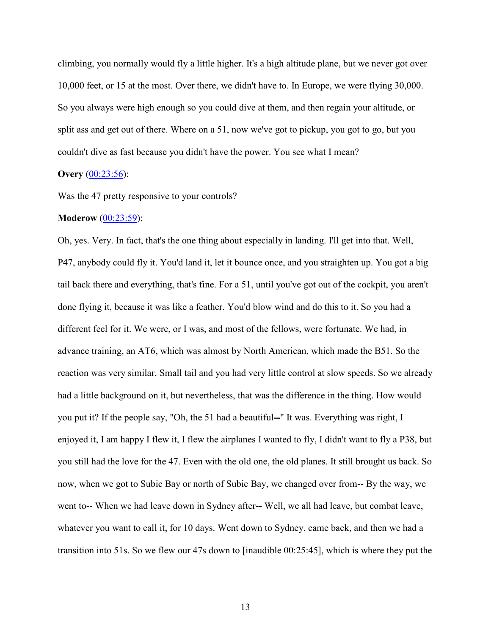climbing, you normally would fly a little higher. It's a high altitude plane, but we never got over 10,000 feet, or 15 at the most. Over there, we didn't have to. In Europe, we were flying 30,000. So you always were high enough so you could dive at them, and then regain your altitude, or split ass and get out of there. Where on a 51, now we've got to pickup, you got to go, but you couldn't dive as fast because you didn't have the power. You see what I mean?

# **Overy** [\(00:23:56\)](https://www.rev.com/transcript-editor/Edit?token=U2_X7syzLdO-wrePbJ-hzOv6tFWiFUCJC8sNaMbmk24-bVBlWxPASyKLkOaM5sKQy8_5ShMHGinM1mOj855wVr0kJGE&loadFrom=DocumentDeeplink&ts=1436.47):

Was the 47 pretty responsive to your controls?

# **Moderow** [\(00:23:59\)](https://www.rev.com/transcript-editor/Edit?token=tFYWjxV97RSAsKb0hUYJDC1Rlwz33k8XGsNgYAPn6g_HeCz4JeIJ2XvzCXGtRvkLt-KqnrSn-j1vXrWPnlz4GEiaRBE&loadFrom=DocumentDeeplink&ts=1439.62):

Oh, yes. Very. In fact, that's the one thing about especially in landing. I'll get into that. Well, P47, anybody could fly it. You'd land it, let it bounce once, and you straighten up. You got a big tail back there and everything, that's fine. For a 51, until you've got out of the cockpit, you aren't done flying it, because it was like a feather. You'd blow wind and do this to it. So you had a different feel for it. We were, or I was, and most of the fellows, were fortunate. We had, in advance training, an AT6, which was almost by North American, which made the B51. So the reaction was very similar. Small tail and you had very little control at slow speeds. So we already had a little background on it, but nevertheless, that was the difference in the thing. How would you put it? If the people say, "Oh, the 51 had a beautiful**--**" It was. Everything was right, I enjoyed it, I am happy I flew it, I flew the airplanes I wanted to fly, I didn't want to fly a P38, but you still had the love for the 47. Even with the old one, the old planes. It still brought us back. So now, when we got to Subic Bay or north of Subic Bay, we changed over from-- By the way, we went to-- When we had leave down in Sydney after**--** Well, we all had leave, but combat leave, whatever you want to call it, for 10 days. Went down to Sydney, came back, and then we had a transition into 51s. So we flew our 47s down to [inaudible 00:25:45], which is where they put the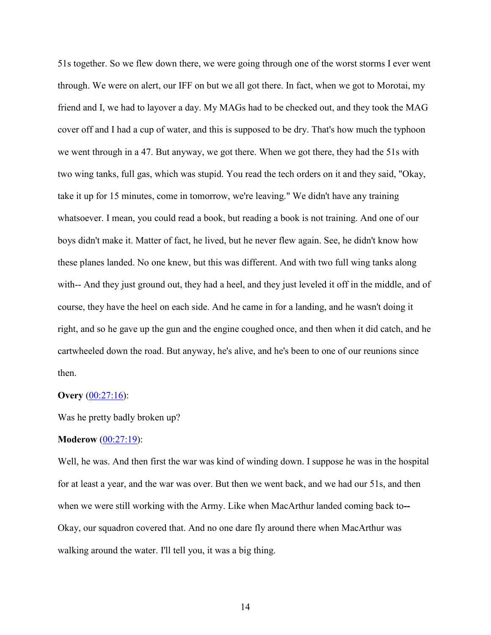51s together. So we flew down there, we were going through one of the worst storms I ever went through. We were on alert, our IFF on but we all got there. In fact, when we got to Morotai, my friend and I, we had to layover a day. My MAGs had to be checked out, and they took the MAG cover off and I had a cup of water, and this is supposed to be dry. That's how much the typhoon we went through in a 47. But anyway, we got there. When we got there, they had the 51s with two wing tanks, full gas, which was stupid. You read the tech orders on it and they said, "Okay, take it up for 15 minutes, come in tomorrow, we're leaving." We didn't have any training whatsoever. I mean, you could read a book, but reading a book is not training. And one of our boys didn't make it. Matter of fact, he lived, but he never flew again. See, he didn't know how these planes landed. No one knew, but this was different. And with two full wing tanks along with-- And they just ground out, they had a heel, and they just leveled it off in the middle, and of course, they have the heel on each side. And he came in for a landing, and he wasn't doing it right, and so he gave up the gun and the engine coughed once, and then when it did catch, and he cartwheeled down the road. But anyway, he's alive, and he's been to one of our reunions since then.

# **Overy** [\(00:27:16\)](https://www.rev.com/transcript-editor/Edit?token=JhfvdixY31yy3MhTmh4esITT_5Lu4bZLiBJX6SUeeOqOGlUGLvCYDDJButW5xPf5AYjYShtDi-eCJvXftrTPsfbmciQ&loadFrom=DocumentDeeplink&ts=1636.89):

Was he pretty badly broken up?

### **Moderow** [\(00:27:19\)](https://www.rev.com/transcript-editor/Edit?token=zlzu7nxuIFPQvziEqkkcur_i1jE8XVCdPROQgv4BQdn_Wpl3VilSN-dsIHwfTOZCYqnJAGM8x2IhwN-obEjbKONNMeU&loadFrom=DocumentDeeplink&ts=1639):

Well, he was. And then first the war was kind of winding down. I suppose he was in the hospital for at least a year, and the war was over. But then we went back, and we had our 51s, and then when we were still working with the Army. Like when MacArthur landed coming back to**--** Okay, our squadron covered that. And no one dare fly around there when MacArthur was walking around the water. I'll tell you, it was a big thing.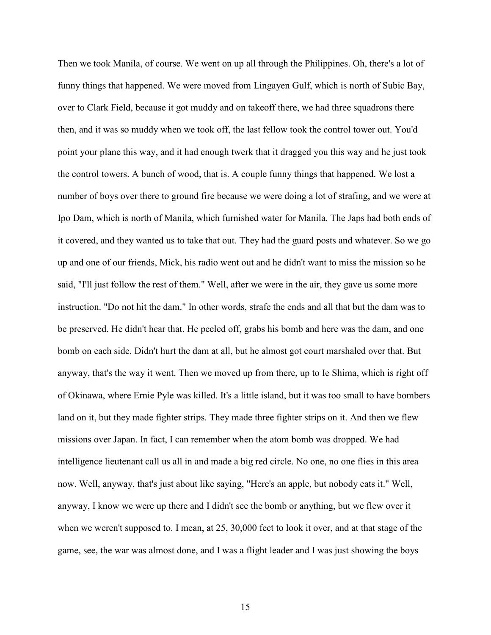Then we took Manila, of course. We went on up all through the Philippines. Oh, there's a lot of funny things that happened. We were moved from Lingayen Gulf, which is north of Subic Bay, over to Clark Field, because it got muddy and on takeoff there, we had three squadrons there then, and it was so muddy when we took off, the last fellow took the control tower out. You'd point your plane this way, and it had enough twerk that it dragged you this way and he just took the control towers. A bunch of wood, that is. A couple funny things that happened. We lost a number of boys over there to ground fire because we were doing a lot of strafing, and we were at Ipo Dam, which is north of Manila, which furnished water for Manila. The Japs had both ends of it covered, and they wanted us to take that out. They had the guard posts and whatever. So we go up and one of our friends, Mick, his radio went out and he didn't want to miss the mission so he said, "I'll just follow the rest of them." Well, after we were in the air, they gave us some more instruction. "Do not hit the dam." In other words, strafe the ends and all that but the dam was to be preserved. He didn't hear that. He peeled off, grabs his bomb and here was the dam, and one bomb on each side. Didn't hurt the dam at all, but he almost got court marshaled over that. But anyway, that's the way it went. Then we moved up from there, up to Ie Shima, which is right off of Okinawa, where Ernie Pyle was killed. It's a little island, but it was too small to have bombers land on it, but they made fighter strips. They made three fighter strips on it. And then we flew missions over Japan. In fact, I can remember when the atom bomb was dropped. We had intelligence lieutenant call us all in and made a big red circle. No one, no one flies in this area now. Well, anyway, that's just about like saying, "Here's an apple, but nobody eats it." Well, anyway, I know we were up there and I didn't see the bomb or anything, but we flew over it when we weren't supposed to. I mean, at 25, 30,000 feet to look it over, and at that stage of the game, see, the war was almost done, and I was a flight leader and I was just showing the boys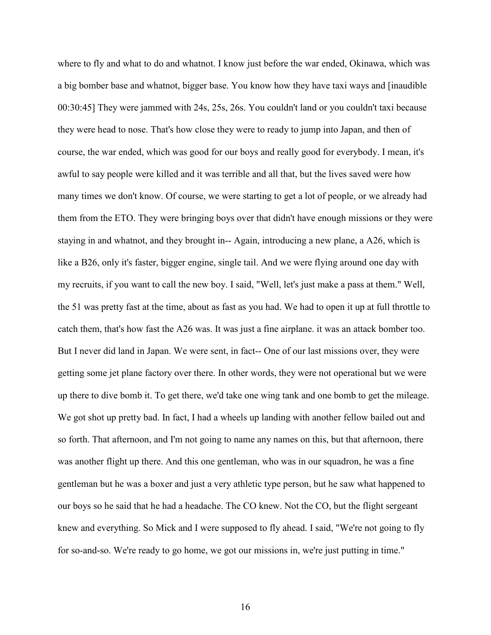where to fly and what to do and whatnot. I know just before the war ended, Okinawa, which was a big bomber base and whatnot, bigger base. You know how they have taxi ways and [inaudible 00:30:45] They were jammed with 24s, 25s, 26s. You couldn't land or you couldn't taxi because they were head to nose. That's how close they were to ready to jump into Japan, and then of course, the war ended, which was good for our boys and really good for everybody. I mean, it's awful to say people were killed and it was terrible and all that, but the lives saved were how many times we don't know. Of course, we were starting to get a lot of people, or we already had them from the ETO. They were bringing boys over that didn't have enough missions or they were staying in and whatnot, and they brought in-- Again, introducing a new plane, a A26, which is like a B26, only it's faster, bigger engine, single tail. And we were flying around one day with my recruits, if you want to call the new boy. I said, "Well, let's just make a pass at them." Well, the 51 was pretty fast at the time, about as fast as you had. We had to open it up at full throttle to catch them, that's how fast the A26 was. It was just a fine airplane. it was an attack bomber too. But I never did land in Japan. We were sent, in fact-- One of our last missions over, they were getting some jet plane factory over there. In other words, they were not operational but we were up there to dive bomb it. To get there, we'd take one wing tank and one bomb to get the mileage. We got shot up pretty bad. In fact, I had a wheels up landing with another fellow bailed out and so forth. That afternoon, and I'm not going to name any names on this, but that afternoon, there was another flight up there. And this one gentleman, who was in our squadron, he was a fine gentleman but he was a boxer and just a very athletic type person, but he saw what happened to our boys so he said that he had a headache. The CO knew. Not the CO, but the flight sergeant knew and everything. So Mick and I were supposed to fly ahead. I said, "We're not going to fly for so-and-so. We're ready to go home, we got our missions in, we're just putting in time."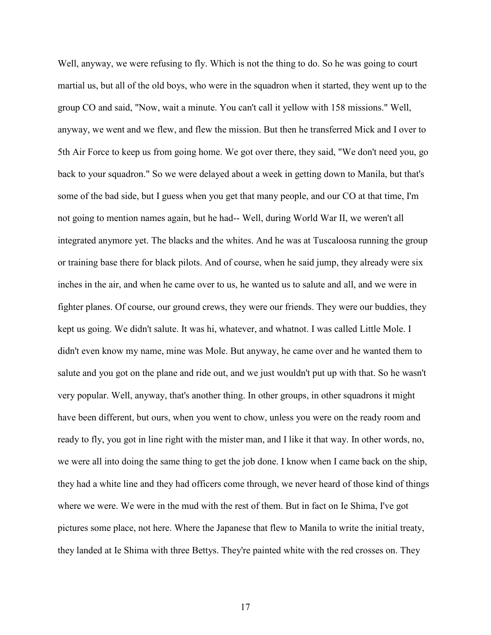Well, anyway, we were refusing to fly. Which is not the thing to do. So he was going to court martial us, but all of the old boys, who were in the squadron when it started, they went up to the group CO and said, "Now, wait a minute. You can't call it yellow with 158 missions." Well, anyway, we went and we flew, and flew the mission. But then he transferred Mick and I over to 5th Air Force to keep us from going home. We got over there, they said, "We don't need you, go back to your squadron." So we were delayed about a week in getting down to Manila, but that's some of the bad side, but I guess when you get that many people, and our CO at that time, I'm not going to mention names again, but he had-- Well, during World War II, we weren't all integrated anymore yet. The blacks and the whites. And he was at Tuscaloosa running the group or training base there for black pilots. And of course, when he said jump, they already were six inches in the air, and when he came over to us, he wanted us to salute and all, and we were in fighter planes. Of course, our ground crews, they were our friends. They were our buddies, they kept us going. We didn't salute. It was hi, whatever, and whatnot. I was called Little Mole. I didn't even know my name, mine was Mole. But anyway, he came over and he wanted them to salute and you got on the plane and ride out, and we just wouldn't put up with that. So he wasn't very popular. Well, anyway, that's another thing. In other groups, in other squadrons it might have been different, but ours, when you went to chow, unless you were on the ready room and ready to fly, you got in line right with the mister man, and I like it that way. In other words, no, we were all into doing the same thing to get the job done. I know when I came back on the ship, they had a white line and they had officers come through, we never heard of those kind of things where we were. We were in the mud with the rest of them. But in fact on Ie Shima, I've got pictures some place, not here. Where the Japanese that flew to Manila to write the initial treaty, they landed at Ie Shima with three Bettys. They're painted white with the red crosses on. They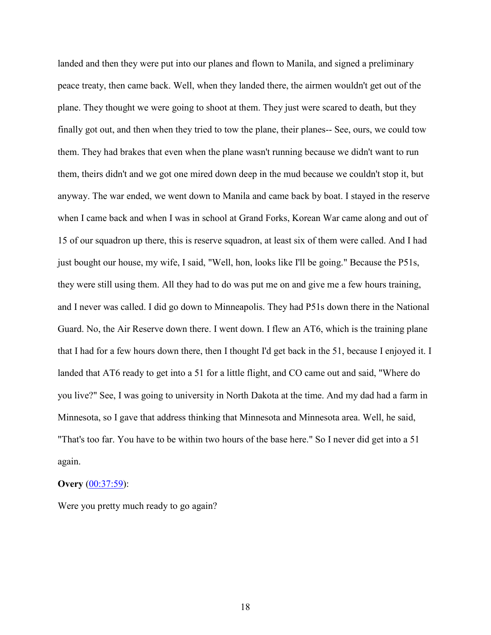landed and then they were put into our planes and flown to Manila, and signed a preliminary peace treaty, then came back. Well, when they landed there, the airmen wouldn't get out of the plane. They thought we were going to shoot at them. They just were scared to death, but they finally got out, and then when they tried to tow the plane, their planes-- See, ours, we could tow them. They had brakes that even when the plane wasn't running because we didn't want to run them, theirs didn't and we got one mired down deep in the mud because we couldn't stop it, but anyway. The war ended, we went down to Manila and came back by boat. I stayed in the reserve when I came back and when I was in school at Grand Forks, Korean War came along and out of 15 of our squadron up there, this is reserve squadron, at least six of them were called. And I had just bought our house, my wife, I said, "Well, hon, looks like I'll be going." Because the P51s, they were still using them. All they had to do was put me on and give me a few hours training, and I never was called. I did go down to Minneapolis. They had P51s down there in the National Guard. No, the Air Reserve down there. I went down. I flew an AT6, which is the training plane that I had for a few hours down there, then I thought I'd get back in the 51, because I enjoyed it. I landed that AT6 ready to get into a 51 for a little flight, and CO came out and said, "Where do you live?" See, I was going to university in North Dakota at the time. And my dad had a farm in Minnesota, so I gave that address thinking that Minnesota and Minnesota area. Well, he said, "That's too far. You have to be within two hours of the base here." So I never did get into a 51 again.

## **Overy** [\(00:37:59\)](https://www.rev.com/transcript-editor/Edit?token=15pRqU098RqY-dxZkxrloC5NSQUSBgpTGDWP8rkmIyOL_niQhKWMIGY27TVZGdlhIGFviUcKdi8qHvL-3w_4rUEiL0o&loadFrom=DocumentDeeplink&ts=2279.1):

Were you pretty much ready to go again?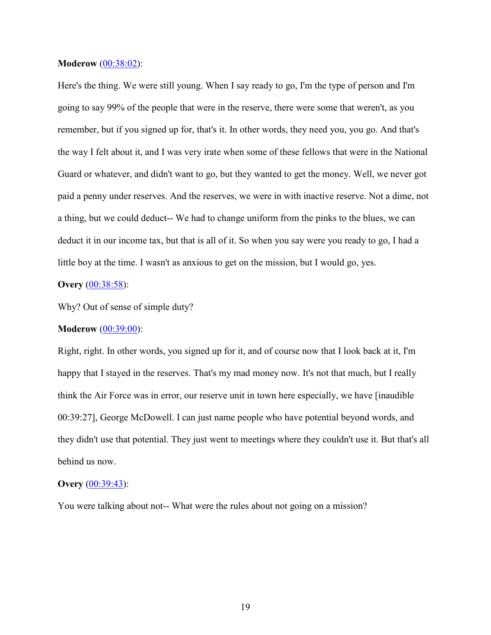### **Moderow** [\(00:38:02\)](https://www.rev.com/transcript-editor/Edit?token=XFpkJVAbkpjdwfyqYq0EiGVlCN9LpEaDWFbsCUa8teZHUD3132fnvIZrveYiNXhzM8aJLXci9hWcLICKU4jcv-gKbiU&loadFrom=DocumentDeeplink&ts=2282.91):

Here's the thing. We were still young. When I say ready to go, I'm the type of person and I'm going to say 99% of the people that were in the reserve, there were some that weren't, as you remember, but if you signed up for, that's it. In other words, they need you, you go. And that's the way I felt about it, and I was very irate when some of these fellows that were in the National Guard or whatever, and didn't want to go, but they wanted to get the money. Well, we never got paid a penny under reserves. And the reserves, we were in with inactive reserve. Not a dime, not a thing, but we could deduct-- We had to change uniform from the pinks to the blues, we can deduct it in our income tax, but that is all of it. So when you say were you ready to go, I had a little boy at the time. I wasn't as anxious to get on the mission, but I would go, yes.

# **Overy** [\(00:38:58\)](https://www.rev.com/transcript-editor/Edit?token=L8Ipa1FCeFHmxx9pezaKa4g4IkPDDuuYznuGHz7-h2krV7vKVdXilPiYOxCkL0HYjXGWtXDq7gYUG2uBWRLdB2xAibQ&loadFrom=DocumentDeeplink&ts=2338.87):

Why? Out of sense of simple duty?

# **Moderow** [\(00:39:00\)](https://www.rev.com/transcript-editor/Edit?token=bd9DauOkA28jdW0AJ6AdNGxqvToA8mtRrcOrT3phISDiV-07SN6nJWMCiGrj1Dl1vMEK4oD1lZUikIr0m-Xrkw5JT_w&loadFrom=DocumentDeeplink&ts=2340.95):

Right, right. In other words, you signed up for it, and of course now that I look back at it, I'm happy that I stayed in the reserves. That's my mad money now. It's not that much, but I really think the Air Force was in error, our reserve unit in town here especially, we have [inaudible 00:39:27], George McDowell. I can just name people who have potential beyond words, and they didn't use that potential. They just went to meetings where they couldn't use it. But that's all behind us now.

## **Overy** [\(00:39:43\)](https://www.rev.com/transcript-editor/Edit?token=7B6QgHTwKF6VwRcI-ewH8akkbwUwWlN3SeZDHYkDU1j-_s44z545IptrtTXacbMEtA1P6NU_RpK_ExMFnvLmnmVDtxQ&loadFrom=DocumentDeeplink&ts=2383.17):

You were talking about not-- What were the rules about not going on a mission?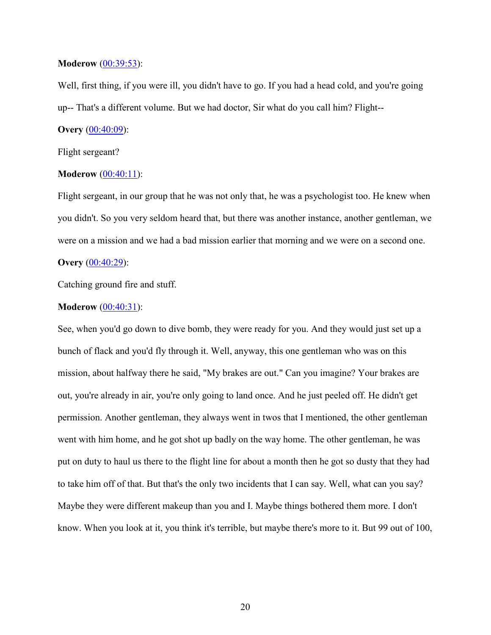## **Moderow** [\(00:39:53\)](https://www.rev.com/transcript-editor/Edit?token=mr0yAwoI7o99iK3M84zviSkFEMZRwpKBaDdzQ37WBN3gECIhAASBnSCOCY-fwHJODGN8X12ZtzhcWVn8xk9Cmu1d_gs&loadFrom=DocumentDeeplink&ts=2393.11):

Well, first thing, if you were ill, you didn't have to go. If you had a head cold, and you're going up-- That's a different volume. But we had doctor, Sir what do you call him? Flight--

# **Overy** [\(00:40:09\)](https://www.rev.com/transcript-editor/Edit?token=pfnQCU4S7iQ9L8hq9BaD5MkmAaRUhGJXBwCzwh5f-_msMD_MxkAsLX4N7XuHocXaxDbgA8LAYjYVrgX9SwNBiQDLOag&loadFrom=DocumentDeeplink&ts=2409.81):

Flight sergeant?

#### **Moderow** [\(00:40:11\)](https://www.rev.com/transcript-editor/Edit?token=aUMpBTwLtEtnTp80DverBScxvkGm9aHiz1PEKEKHqr-0m7lW6MwNHJpCwwL4Hlj9K2FGZUfKQq8WvT4cdHzOu37lAEQ&loadFrom=DocumentDeeplink&ts=2411.06):

Flight sergeant, in our group that he was not only that, he was a psychologist too. He knew when you didn't. So you very seldom heard that, but there was another instance, another gentleman, we were on a mission and we had a bad mission earlier that morning and we were on a second one.

## **Overy** [\(00:40:29\)](https://www.rev.com/transcript-editor/Edit?token=UI28zNMunnlxk1YUu9NcFnO4mHc6oqMkubUt8l0syLs7Q-upsGjgMEl45vEoc8fDCzfDDE2YTp7etTRzI73Wj31EnTg&loadFrom=DocumentDeeplink&ts=2429.59):

Catching ground fire and stuff.

#### **Moderow** [\(00:40:31\)](https://www.rev.com/transcript-editor/Edit?token=h9X0Bpg29uPjUbLoLbt_2ucEHc8vGo1yz3ZoupPrjLhH-gxuid-tJ01w9D7WaPUHCif-szAAuG2KmdRvU2pquSsN4FA&loadFrom=DocumentDeeplink&ts=2431.61):

See, when you'd go down to dive bomb, they were ready for you. And they would just set up a bunch of flack and you'd fly through it. Well, anyway, this one gentleman who was on this mission, about halfway there he said, "My brakes are out." Can you imagine? Your brakes are out, you're already in air, you're only going to land once. And he just peeled off. He didn't get permission. Another gentleman, they always went in twos that I mentioned, the other gentleman went with him home, and he got shot up badly on the way home. The other gentleman, he was put on duty to haul us there to the flight line for about a month then he got so dusty that they had to take him off of that. But that's the only two incidents that I can say. Well, what can you say? Maybe they were different makeup than you and I. Maybe things bothered them more. I don't know. When you look at it, you think it's terrible, but maybe there's more to it. But 99 out of 100,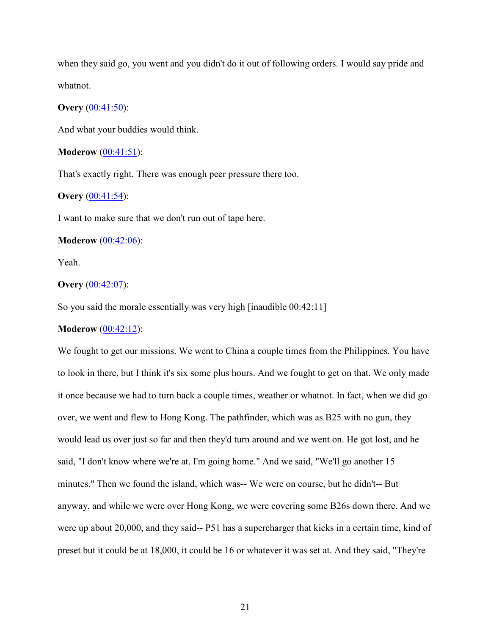when they said go, you went and you didn't do it out of following orders. I would say pride and whatnot.

## **Overy** [\(00:41:50\)](https://www.rev.com/transcript-editor/Edit?token=CInyS2FLgxG23X8dq3kBlmL7hiE4gT0KjBrzH__3CGdkwGGahQwlWX3Bvj_yy873zk6sW6Hb7RVJzJfE6BHh0DnPUrs&loadFrom=DocumentDeeplink&ts=2510.19):

And what your buddies would think.

## **Moderow** [\(00:41:51\)](https://www.rev.com/transcript-editor/Edit?token=mTLOlE2rI056GRhJ6eIdWEzPnhsenJKqdn-n_Px12dRwPy0h6P-jBRKl6bz7oQUn6AbltrqGE2MiNG7YHVxoEWHFCJk&loadFrom=DocumentDeeplink&ts=2511.86):

That's exactly right. There was enough peer pressure there too.

# **Overy** [\(00:41:54\)](https://www.rev.com/transcript-editor/Edit?token=4iDlk0M3rgF76wniNsjsgiOY4xM5dO4nC8PGSWKTBQd6U33gZ820bxc4QrCCK1-5S77ilmfYRwCgv6hMB1cuubxSVMM&loadFrom=DocumentDeeplink&ts=2514.69):

I want to make sure that we don't run out of tape here.

### **Moderow** [\(00:42:06\)](https://www.rev.com/transcript-editor/Edit?token=HtZW5k6DYmnu-y9agb02uzL05I9sKGFpG9GlNX5CO03OmrB1q7TH32-CroQQjDMZ3EpHoVc7Gqh4gju8nEcTP8cq8vM&loadFrom=DocumentDeeplink&ts=2526.1):

Yeah.

## **Overy** [\(00:42:07\)](https://www.rev.com/transcript-editor/Edit?token=GkNSuEyPJJRMcMzJ3IhvwxcWh4UEu_p1Zr8CVlGb3J1Y-qdDFedzvC8BCm-29UkCwDS7Gg0qYPactNw_0aG0YA_wriY&loadFrom=DocumentDeeplink&ts=2527.14):

So you said the morale essentially was very high [inaudible 00:42:11]

# **Moderow** [\(00:42:12\)](https://www.rev.com/transcript-editor/Edit?token=ma9xSPdz9R-sPCWCNGjXhiZtuCh3n2Qs7mbx-EZsqxgA1B0m-qgyJ_UOt2Ac1UqJwPjRB6KkuEBY2rKXeqMhbfRw1R8&loadFrom=DocumentDeeplink&ts=2532.31):

We fought to get our missions. We went to China a couple times from the Philippines. You have to look in there, but I think it's six some plus hours. And we fought to get on that. We only made it once because we had to turn back a couple times, weather or whatnot. In fact, when we did go over, we went and flew to Hong Kong. The pathfinder, which was as B25 with no gun, they would lead us over just so far and then they'd turn around and we went on. He got lost, and he said, "I don't know where we're at. I'm going home." And we said, "We'll go another 15 minutes." Then we found the island, which was**--** We were on course, but he didn't-- But anyway, and while we were over Hong Kong, we were covering some B26s down there. And we were up about 20,000, and they said-- P51 has a supercharger that kicks in a certain time, kind of preset but it could be at 18,000, it could be 16 or whatever it was set at. And they said, "They're

21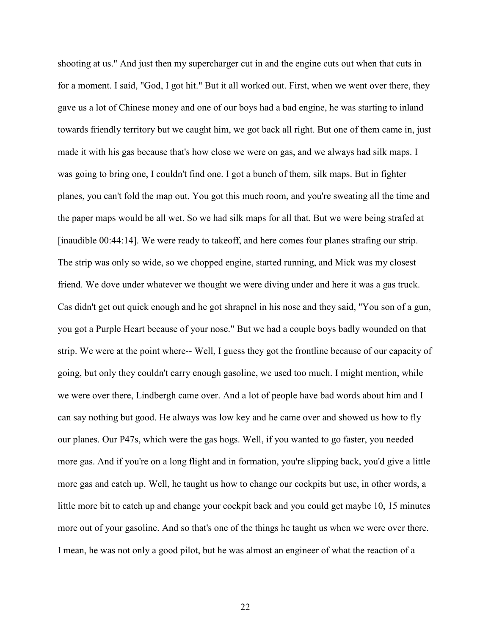shooting at us." And just then my supercharger cut in and the engine cuts out when that cuts in for a moment. I said, "God, I got hit." But it all worked out. First, when we went over there, they gave us a lot of Chinese money and one of our boys had a bad engine, he was starting to inland towards friendly territory but we caught him, we got back all right. But one of them came in, just made it with his gas because that's how close we were on gas, and we always had silk maps. I was going to bring one, I couldn't find one. I got a bunch of them, silk maps. But in fighter planes, you can't fold the map out. You got this much room, and you're sweating all the time and the paper maps would be all wet. So we had silk maps for all that. But we were being strafed at [inaudible 00:44:14]. We were ready to takeoff, and here comes four planes strafing our strip. The strip was only so wide, so we chopped engine, started running, and Mick was my closest friend. We dove under whatever we thought we were diving under and here it was a gas truck. Cas didn't get out quick enough and he got shrapnel in his nose and they said, "You son of a gun, you got a Purple Heart because of your nose." But we had a couple boys badly wounded on that strip. We were at the point where-- Well, I guess they got the frontline because of our capacity of going, but only they couldn't carry enough gasoline, we used too much. I might mention, while we were over there, Lindbergh came over. And a lot of people have bad words about him and I can say nothing but good. He always was low key and he came over and showed us how to fly our planes. Our P47s, which were the gas hogs. Well, if you wanted to go faster, you needed more gas. And if you're on a long flight and in formation, you're slipping back, you'd give a little more gas and catch up. Well, he taught us how to change our cockpits but use, in other words, a little more bit to catch up and change your cockpit back and you could get maybe 10, 15 minutes more out of your gasoline. And so that's one of the things he taught us when we were over there. I mean, he was not only a good pilot, but he was almost an engineer of what the reaction of a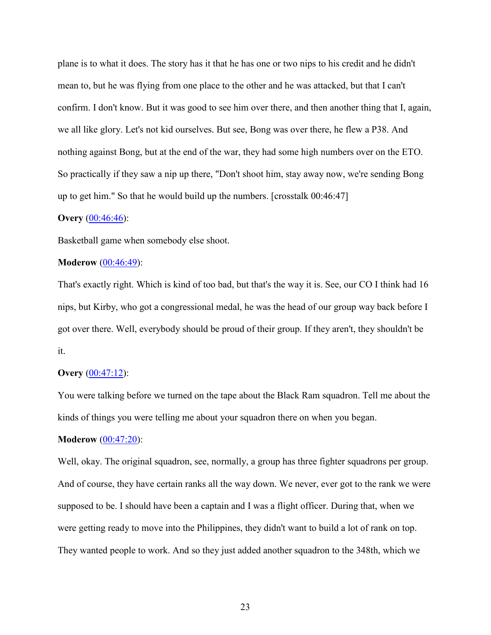plane is to what it does. The story has it that he has one or two nips to his credit and he didn't mean to, but he was flying from one place to the other and he was attacked, but that I can't confirm. I don't know. But it was good to see him over there, and then another thing that I, again, we all like glory. Let's not kid ourselves. But see, Bong was over there, he flew a P38. And nothing against Bong, but at the end of the war, they had some high numbers over on the ETO. So practically if they saw a nip up there, "Don't shoot him, stay away now, we're sending Bong up to get him." So that he would build up the numbers. [crosstalk 00:46:47]

#### **Overy** [\(00:46:46\)](https://www.rev.com/transcript-editor/Edit?token=R3Y82y_gipND1t1q_BdjUy2HsJD9fKWfaepJURSs_1kvVZrZy4qBd9XR2pywjE97KJxIzKfj8Z4VJNk4DEftvDU5mZg&loadFrom=DocumentDeeplink&ts=2806.77):

Basketball game when somebody else shoot.

### **Moderow** [\(00:46:49\)](https://www.rev.com/transcript-editor/Edit?token=0CYlkSFHAuePVjmIqi7qRy-YhJPnSqQ6xdaBj6lxB-sEL1pR5Yn8S_UiykMP9tUDMvGR0Pe6QoVT1ZeOW8rLW8BC2KA&loadFrom=DocumentDeeplink&ts=2809.01):

That's exactly right. Which is kind of too bad, but that's the way it is. See, our CO I think had 16 nips, but Kirby, who got a congressional medal, he was the head of our group way back before I got over there. Well, everybody should be proud of their group. If they aren't, they shouldn't be it.

# **Overy** [\(00:47:12\)](https://www.rev.com/transcript-editor/Edit?token=ZKG8zUUOqSKyCdgakEbwgDm2FrIiZlB1j2HqoEErKYS-O6Qj6Im6r3ygvElMpxwIS_0gMoAT1y3pM_eCdQR0rZHdVFI&loadFrom=DocumentDeeplink&ts=2832.12):

You were talking before we turned on the tape about the Black Ram squadron. Tell me about the kinds of things you were telling me about your squadron there on when you began.

#### **Moderow** [\(00:47:20\)](https://www.rev.com/transcript-editor/Edit?token=JVhDA8Mi0tinc8X7TIPFzIrv3fWiTNLiLVr7UE2ysis2Z8FnTyu8KzRUdjYEGtY1pqJE6uIfpV9if-vVCMXtMyFmjJI&loadFrom=DocumentDeeplink&ts=2840.83):

Well, okay. The original squadron, see, normally, a group has three fighter squadrons per group. And of course, they have certain ranks all the way down. We never, ever got to the rank we were supposed to be. I should have been a captain and I was a flight officer. During that, when we were getting ready to move into the Philippines, they didn't want to build a lot of rank on top. They wanted people to work. And so they just added another squadron to the 348th, which we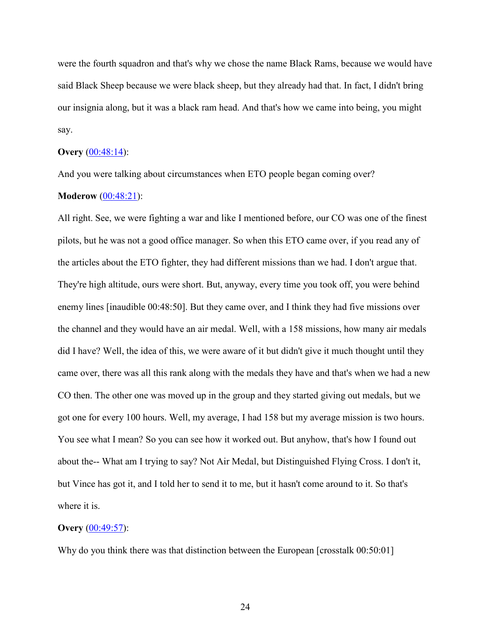were the fourth squadron and that's why we chose the name Black Rams, because we would have said Black Sheep because we were black sheep, but they already had that. In fact, I didn't bring our insignia along, but it was a black ram head. And that's how we came into being, you might say.

#### **Overy** [\(00:48:14\)](https://www.rev.com/transcript-editor/Edit?token=BsRasKgQlHtz-N0hmmT0LWiRUZ3psiN7PkJ0J-KqMtsTNClXm0iOQdTs04ty8OQD_cI0I0fFjgmD1asGAWZOofb4FRw&loadFrom=DocumentDeeplink&ts=2894.82):

And you were talking about circumstances when ETO people began coming over?

# **Moderow** [\(00:48:21\)](https://www.rev.com/transcript-editor/Edit?token=NIC7UUHxomkbNe6UszJZUO9mQ0VVI-zTxHZ_aEBN0Dct1pI1_LA87fxfiFq8cUQqi_tuXiduy1wymQ7JY08XoeP26PA&loadFrom=DocumentDeeplink&ts=2901.1):

All right. See, we were fighting a war and like I mentioned before, our CO was one of the finest pilots, but he was not a good office manager. So when this ETO came over, if you read any of the articles about the ETO fighter, they had different missions than we had. I don't argue that. They're high altitude, ours were short. But, anyway, every time you took off, you were behind enemy lines [inaudible 00:48:50]. But they came over, and I think they had five missions over the channel and they would have an air medal. Well, with a 158 missions, how many air medals did I have? Well, the idea of this, we were aware of it but didn't give it much thought until they came over, there was all this rank along with the medals they have and that's when we had a new CO then. The other one was moved up in the group and they started giving out medals, but we got one for every 100 hours. Well, my average, I had 158 but my average mission is two hours. You see what I mean? So you can see how it worked out. But anyhow, that's how I found out about the-- What am I trying to say? Not Air Medal, but Distinguished Flying Cross. I don't it, but Vince has got it, and I told her to send it to me, but it hasn't come around to it. So that's where it is.

### **Overy** [\(00:49:57\)](https://www.rev.com/transcript-editor/Edit?token=ioyLoK-j-g3LWG6VGvDhLNTa5S2DytzYQlDemNC0LeLgzdgmcjwq2qJa3QSVza4E02WfX4ISJOkDXAQZx9ktCdDJHU0&loadFrom=DocumentDeeplink&ts=2997.84):

Why do you think there was that distinction between the European [crosstalk 00:50:01]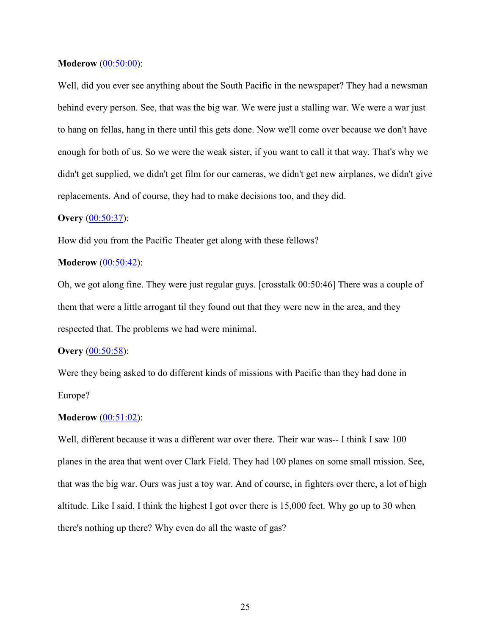## **Moderow** [\(00:50:00\)](https://www.rev.com/transcript-editor/Edit?token=5wJq-4sE3gtuzo-vuefSb1qAbayB33pDqc2uFJ5fxSO3mBuPnx0-8iPe10NrFGugMTa2SvosIKBDuP4pPXntA0h39bY&loadFrom=DocumentDeeplink&ts=3000.8):

Well, did you ever see anything about the South Pacific in the newspaper? They had a newsman behind every person. See, that was the big war. We were just a stalling war. We were a war just to hang on fellas, hang in there until this gets done. Now we'll come over because we don't have enough for both of us. So we were the weak sister, if you want to call it that way. That's why we didn't get supplied, we didn't get film for our cameras, we didn't get new airplanes, we didn't give replacements. And of course, they had to make decisions too, and they did.

#### **Overy** [\(00:50:37\)](https://www.rev.com/transcript-editor/Edit?token=2HJrliosS1aXERmvE5_px02GuIFUbH9OAkM7qmLPpgtExgY3itVCgbBTfG5GEsuLuKhUn50UP9lhpUVhur0LhGZT7Cs&loadFrom=DocumentDeeplink&ts=3037.73):

How did you from the Pacific Theater get along with these fellows?

## **Moderow** [\(00:50:42\)](https://www.rev.com/transcript-editor/Edit?token=djY2Nwx7JFmdwOwBBLqa7RY09FCCTmV79C2go9lVxqVIzud7fqC6ajOSjfUitxYC_K3jPOcPFQjVCasDpDVpOUh8PfE&loadFrom=DocumentDeeplink&ts=3042.66):

Oh, we got along fine. They were just regular guys. [crosstalk 00:50:46] There was a couple of them that were a little arrogant til they found out that they were new in the area, and they respected that. The problems we had were minimal.

#### **Overy** [\(00:50:58\)](https://www.rev.com/transcript-editor/Edit?token=LewxQhGHQfG8AAWPr-fxODtVxewFiZzB-FJVRF7h-sJjjDeFadUhy8WDgxTkKeTVlN9cWj8BeSyrd2K8YYROsdFwec4&loadFrom=DocumentDeeplink&ts=3058.63):

Were they being asked to do different kinds of missions with Pacific than they had done in Europe?

#### **Moderow** [\(00:51:02\)](https://www.rev.com/transcript-editor/Edit?token=vft-hmd9vxpgtJhvYJVU4IIahsomXEgEZ6wnmNJQaoVMm75qdowTR5bMEm5LqUwSvl8jo93d6p8rh4f6lZQTUOy9WUM&loadFrom=DocumentDeeplink&ts=3062.78):

Well, different because it was a different war over there. Their war was-- I think I saw 100 planes in the area that went over Clark Field. They had 100 planes on some small mission. See, that was the big war. Ours was just a toy war. And of course, in fighters over there, a lot of high altitude. Like I said, I think the highest I got over there is 15,000 feet. Why go up to 30 when there's nothing up there? Why even do all the waste of gas?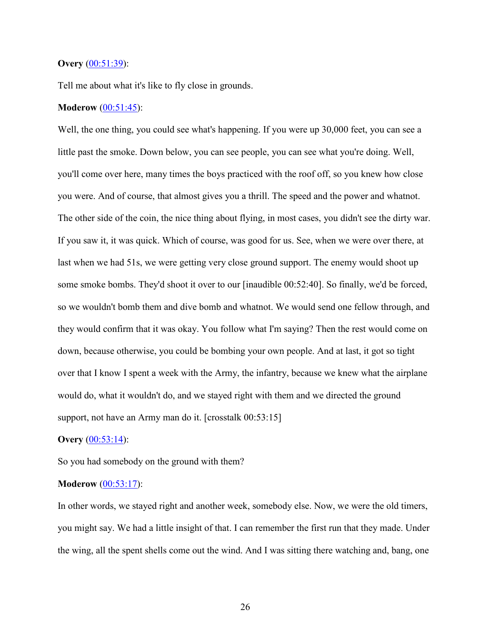## **Overy** [\(00:51:39\)](https://www.rev.com/transcript-editor/Edit?token=1bludLgQXeZuQRJte0KgQFR9MdfGZiPUSfAs2jt_tfIV96OJAAmqULk9p7CFy3Nkz0LD50qbMLqqo7Nz_cZZKC-BJNM&loadFrom=DocumentDeeplink&ts=3099.37):

Tell me about what it's like to fly close in grounds.

# **Moderow** [\(00:51:45\)](https://www.rev.com/transcript-editor/Edit?token=t1lRLBVJ1HW524uaAr6WVFDn3-sUMRWyAwDoVJU66Yakqj-1FI82wMGxloRsSL_YyxnJ6twgwwgTezUo_vzayJI8v_s&loadFrom=DocumentDeeplink&ts=3105.45):

Well, the one thing, you could see what's happening. If you were up 30,000 feet, you can see a little past the smoke. Down below, you can see people, you can see what you're doing. Well, you'll come over here, many times the boys practiced with the roof off, so you knew how close you were. And of course, that almost gives you a thrill. The speed and the power and whatnot. The other side of the coin, the nice thing about flying, in most cases, you didn't see the dirty war. If you saw it, it was quick. Which of course, was good for us. See, when we were over there, at last when we had 51s, we were getting very close ground support. The enemy would shoot up some smoke bombs. They'd shoot it over to our [inaudible 00:52:40]. So finally, we'd be forced, so we wouldn't bomb them and dive bomb and whatnot. We would send one fellow through, and they would confirm that it was okay. You follow what I'm saying? Then the rest would come on down, because otherwise, you could be bombing your own people. And at last, it got so tight over that I know I spent a week with the Army, the infantry, because we knew what the airplane would do, what it wouldn't do, and we stayed right with them and we directed the ground support, not have an Army man do it. [crosstalk 00:53:15]

#### **Overy** [\(00:53:14\)](https://www.rev.com/transcript-editor/Edit?token=TPhIDHL3RRRwqHDmxuEXIaLAO_qRwZkJpfzOhHzOJgiA92LpdpvLs2a2e1Gor7EBeLjMmmWhu8g-MFXVLptqqwfBFwo&loadFrom=DocumentDeeplink&ts=3194.65):

So you had somebody on the ground with them?

# **Moderow** [\(00:53:17\)](https://www.rev.com/transcript-editor/Edit?token=yj56puNs7RYNiXDX1iuog7AwzijKrKB9LUCQ5VTWhRQk6ECWpvBWRXU4r5s4iGSq6ns3y7SWmmFRRx7fekA5OqeZnCg&loadFrom=DocumentDeeplink&ts=3197.64):

In other words, we stayed right and another week, somebody else. Now, we were the old timers, you might say. We had a little insight of that. I can remember the first run that they made. Under the wing, all the spent shells come out the wind. And I was sitting there watching and, bang, one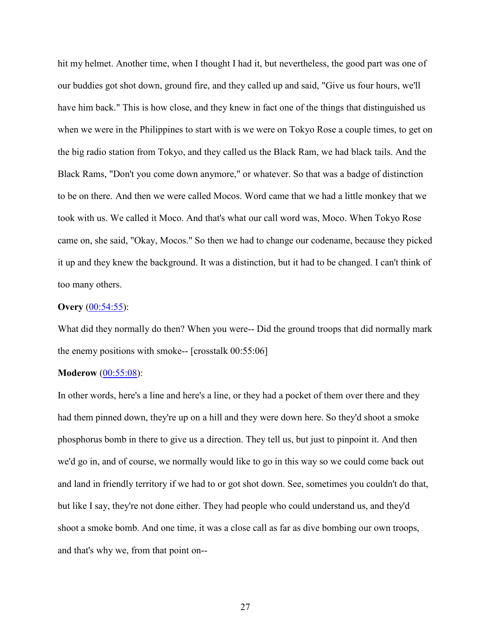hit my helmet. Another time, when I thought I had it, but nevertheless, the good part was one of our buddies got shot down, ground fire, and they called up and said, "Give us four hours, we'll have him back." This is how close, and they knew in fact one of the things that distinguished us when we were in the Philippines to start with is we were on Tokyo Rose a couple times, to get on the big radio station from Tokyo, and they called us the Black Ram, we had black tails. And the Black Rams, "Don't you come down anymore," or whatever. So that was a badge of distinction to be on there. And then we were called Mocos. Word came that we had a little monkey that we took with us. We called it Moco. And that's what our call word was, Moco. When Tokyo Rose came on, she said, "Okay, Mocos." So then we had to change our codename, because they picked it up and they knew the background. It was a distinction, but it had to be changed. I can't think of too many others.

## **Overy** [\(00:54:55\)](https://www.rev.com/transcript-editor/Edit?token=QWW0gQ9CRRKGWivwfVXBxRLnn01h0BbLYzHeY0zGwTPjio30BI-cUs4diJH1Lidmcd7RhGAswa5PPRpE1bbaMxdjv04&loadFrom=DocumentDeeplink&ts=3295.17):

What did they normally do then? When you were-- Did the ground troops that did normally mark the enemy positions with smoke-- [crosstalk 00:55:06]

## **Moderow** [\(00:55:08\)](https://www.rev.com/transcript-editor/Edit?token=UDlN9N1bz0HJszt3yAtOWUXM2cPNnqQWzBI1SlsErRVY8a11rCFYxwxfE9DHdtwPtJtCDOJZwgWAm02xCAZFF8pXU1o&loadFrom=DocumentDeeplink&ts=3308.16):

In other words, here's a line and here's a line, or they had a pocket of them over there and they had them pinned down, they're up on a hill and they were down here. So they'd shoot a smoke phosphorus bomb in there to give us a direction. They tell us, but just to pinpoint it. And then we'd go in, and of course, we normally would like to go in this way so we could come back out and land in friendly territory if we had to or got shot down. See, sometimes you couldn't do that, but like I say, they're not done either. They had people who could understand us, and they'd shoot a smoke bomb. And one time, it was a close call as far as dive bombing our own troops, and that's why we, from that point on--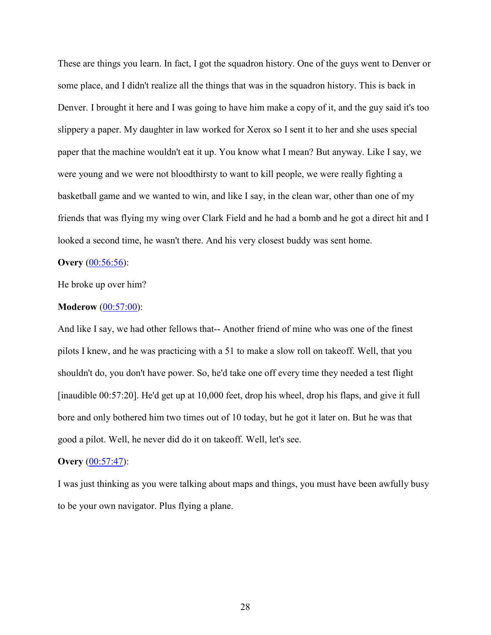These are things you learn. In fact, I got the squadron history. One of the guys went to Denver or some place, and I didn't realize all the things that was in the squadron history. This is back in Denver. I brought it here and I was going to have him make a copy of it, and the guy said it's too slippery a paper. My daughter in law worked for Xerox so I sent it to her and she uses special paper that the machine wouldn't eat it up. You know what I mean? But anyway. Like I say, we were young and we were not bloodthirsty to want to kill people, we were really fighting a basketball game and we wanted to win, and like I say, in the clean war, other than one of my friends that was flying my wing over Clark Field and he had a bomb and he got a direct hit and I looked a second time, he wasn't there. And his very closest buddy was sent home.

## **Overy** [\(00:56:56\)](https://www.rev.com/transcript-editor/Edit?token=PLcich0PVNjQcdstZ158neeJt9f3gBwRaK4coUMLBGiLp10dxbb8yE1oXT19q_fpTC-hI_Q530rP1rucwBoe2co3eNQ&loadFrom=DocumentDeeplink&ts=3416.64):

He broke up over him?

#### **Moderow** [\(00:57:00\)](https://www.rev.com/transcript-editor/Edit?token=tvJDvS8VR-Qh30Znnz5HMsIcdtekglsH-OjRKznazqUi4UIXPDEHwdSRiKwYCfxQDt6p14DxpOX-BNgqn062Bm89gh0&loadFrom=DocumentDeeplink&ts=3420.06):

And like I say, we had other fellows that-- Another friend of mine who was one of the finest pilots I knew, and he was practicing with a 51 to make a slow roll on takeoff. Well, that you shouldn't do, you don't have power. So, he'd take one off every time they needed a test flight [inaudible 00:57:20]. He'd get up at 10,000 feet, drop his wheel, drop his flaps, and give it full bore and only bothered him two times out of 10 today, but he got it later on. But he was that good a pilot. Well, he never did do it on takeoff. Well, let's see.

## **Overy** [\(00:57:47\)](https://www.rev.com/transcript-editor/Edit?token=E7vUncbX5SXMnqtKk7MVHNB3G-xCHIpJO1VBepVS3f-ZXRxiY09_2bvJ6Jj_ystOAUBxWzbkoruMVTrLuvMlpZrT-f4&loadFrom=DocumentDeeplink&ts=3467.85):

I was just thinking as you were talking about maps and things, you must have been awfully busy to be your own navigator. Plus flying a plane.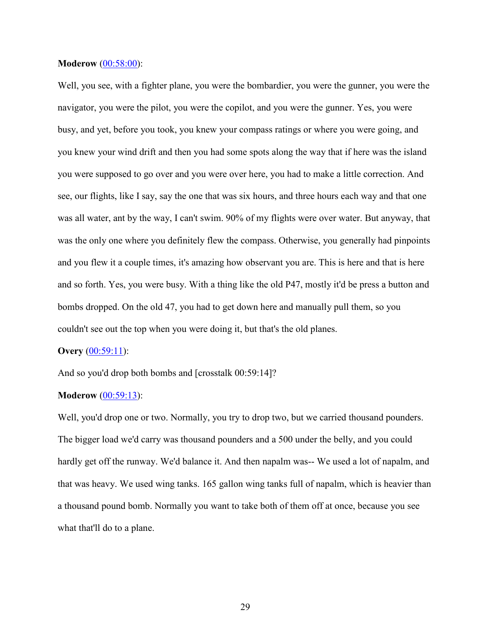## **Moderow** [\(00:58:00\)](https://www.rev.com/transcript-editor/Edit?token=128-eC2xQQmg6ukiQUqIhfPKg7b0_IIFGWusDuVmj4jw69vlrdWQ2_yWhe_DBufkpZRcF45obbNB2XSijn2Nl9svwFM&loadFrom=DocumentDeeplink&ts=3480.9):

Well, you see, with a fighter plane, you were the bombardier, you were the gunner, you were the navigator, you were the pilot, you were the copilot, and you were the gunner. Yes, you were busy, and yet, before you took, you knew your compass ratings or where you were going, and you knew your wind drift and then you had some spots along the way that if here was the island you were supposed to go over and you were over here, you had to make a little correction. And see, our flights, like I say, say the one that was six hours, and three hours each way and that one was all water, ant by the way, I can't swim. 90% of my flights were over water. But anyway, that was the only one where you definitely flew the compass. Otherwise, you generally had pinpoints and you flew it a couple times, it's amazing how observant you are. This is here and that is here and so forth. Yes, you were busy. With a thing like the old P47, mostly it'd be press a button and bombs dropped. On the old 47, you had to get down here and manually pull them, so you couldn't see out the top when you were doing it, but that's the old planes.

#### **Overy** [\(00:59:11\)](https://www.rev.com/transcript-editor/Edit?token=JzffqdlNjO3niN2oMK2MbJxfEZrgrKtUcKjzZz0vbcOu2wRb9pE0NIRvw-HC4HFnpSDXjzlA7OZkkZyBa-BFFZsvexc&loadFrom=DocumentDeeplink&ts=3551.04):

And so you'd drop both bombs and [crosstalk 00:59:14]?

## **Moderow** [\(00:59:13\)](https://www.rev.com/transcript-editor/Edit?token=3bqOXB8_xsi3J6bxei2lZnxL7pVVIcg2o60xVoGYLzw3GAIUoALiSLQjjM7V3n6VIjr8NWQmswYAJowT-7dOXQFV-s0&loadFrom=DocumentDeeplink&ts=3553.57):

Well, you'd drop one or two. Normally, you try to drop two, but we carried thousand pounders. The bigger load we'd carry was thousand pounders and a 500 under the belly, and you could hardly get off the runway. We'd balance it. And then napalm was-- We used a lot of napalm, and that was heavy. We used wing tanks. 165 gallon wing tanks full of napalm, which is heavier than a thousand pound bomb. Normally you want to take both of them off at once, because you see what that'll do to a plane.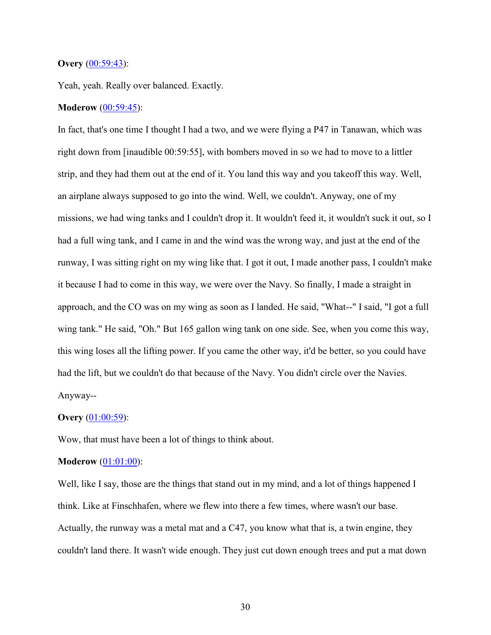## **Overy** [\(00:59:43\)](https://www.rev.com/transcript-editor/Edit?token=3parjCAc6u6JyW0y9YPYkr6cqrCZ1Cel8RV66giaJBoORfkwGtTQPK0R6yzq87Xulx9gheKQnlQPwsREDVmQMGNSl1I&loadFrom=DocumentDeeplink&ts=3583.29):

Yeah, yeah. Really over balanced. Exactly.

### **Moderow** [\(00:59:45\)](https://www.rev.com/transcript-editor/Edit?token=w9UkRpHHxb2wiLfFYJVpjU_dKQwAD2oid9vKQHgCdoxW0z9VrAzgtdqnm98EXkjk88XBKyRw3wkekbYWzFRDOhcFlwY&loadFrom=DocumentDeeplink&ts=3585.91):

In fact, that's one time I thought I had a two, and we were flying a P47 in Tanawan, which was right down from [inaudible 00:59:55], with bombers moved in so we had to move to a littler strip, and they had them out at the end of it. You land this way and you takeoff this way. Well, an airplane always supposed to go into the wind. Well, we couldn't. Anyway, one of my missions, we had wing tanks and I couldn't drop it. It wouldn't feed it, it wouldn't suck it out, so I had a full wing tank, and I came in and the wind was the wrong way, and just at the end of the runway, I was sitting right on my wing like that. I got it out, I made another pass, I couldn't make it because I had to come in this way, we were over the Navy. So finally, I made a straight in approach, and the CO was on my wing as soon as I landed. He said, "What--" I said, "I got a full wing tank." He said, "Oh." But 165 gallon wing tank on one side. See, when you come this way, this wing loses all the lifting power. If you came the other way, it'd be better, so you could have had the lift, but we couldn't do that because of the Navy. You didn't circle over the Navies. Anyway--

#### **Overy** [\(01:00:59\)](https://www.rev.com/transcript-editor/Edit?token=aiVobVzc_xFagIket9NNHn_8-xrnpgB_xjpLhdDntNBXio0JkuQQrIqb4WFq90nFU0BkUPp9zd4o-fHHvzXtlxm16fY&loadFrom=DocumentDeeplink&ts=3659.15):

Wow, that must have been a lot of things to think about.

## **Moderow** [\(01:01:00\)](https://www.rev.com/transcript-editor/Edit?token=3X_AZRM2vaF9ARAbHZjPc0EV5RdwjZvZXu02fOFkhiWiAuHfLFsLkA5Cpic_XRu-Kr1LJCvn30robmoPULxQ0xMhqbg&loadFrom=DocumentDeeplink&ts=3660.6):

Well, like I say, those are the things that stand out in my mind, and a lot of things happened I think. Like at Finschhafen, where we flew into there a few times, where wasn't our base. Actually, the runway was a metal mat and a C47, you know what that is, a twin engine, they couldn't land there. It wasn't wide enough. They just cut down enough trees and put a mat down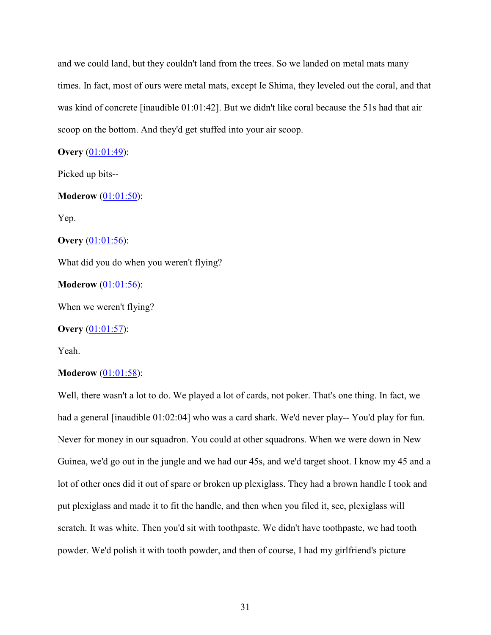and we could land, but they couldn't land from the trees. So we landed on metal mats many times. In fact, most of ours were metal mats, except Ie Shima, they leveled out the coral, and that was kind of concrete [inaudible 01:01:42]. But we didn't like coral because the 51s had that air scoop on the bottom. And they'd get stuffed into your air scoop.

**Overy** [\(01:01:49\)](https://www.rev.com/transcript-editor/Edit?token=ZJ_EEfx4fKbwYK-77D359k7KoAZQ0AExKQLVXZBSm1XDlvullXDVRO_jtM2UL5l2TVg6cGaxJETYPgTRyLhs4d9EK58&loadFrom=DocumentDeeplink&ts=3709.92):

Picked up bits--

**Moderow** [\(01:01:50\)](https://www.rev.com/transcript-editor/Edit?token=Fr5-jctfgZUftnpZf4_gg-BmdVmLdAthoAKYDyBrLwdQtQtfDrwcnio4HlyOOI-xJv317q3wY7XsThCkYy-q_FrACYo&loadFrom=DocumentDeeplink&ts=3710.83):

Yep.

**Overy** [\(01:01:56\)](https://www.rev.com/transcript-editor/Edit?token=ciiT8ifSm4B0BR0xQ1kzsK8OHX1FkSbH2PsBwjssGxPfB6Q5jM6VFNDVTydogIxH2wVqImbl26My1_bt4iMO4TRzcU4&loadFrom=DocumentDeeplink&ts=3716.45):

What did you do when you weren't flying?

**Moderow** [\(01:01:56\)](https://www.rev.com/transcript-editor/Edit?token=VHZen8juoMhnVbINxM28nAX3rfUVVrny2OS9uazl97ylNShq1wm0sWZ14_3T03whlKKcF1XSpbsKAEq64tV2Mj2QEqw&loadFrom=DocumentDeeplink&ts=3716.9):

When we weren't flying?

**Overy** [\(01:01:57\)](https://www.rev.com/transcript-editor/Edit?token=c9s5VFZu0lqOW_T6ppdD5G5cREcQCu9mB_g2GStEISkTmN9OYrWN07RiFjrx4lPi44GB3D9cpjVIg3F56fmG7TPfTvU&loadFrom=DocumentDeeplink&ts=3717.21):

Yeah.

## **Moderow** [\(01:01:58\)](https://www.rev.com/transcript-editor/Edit?token=0VhA-CtSzom5C1Zq1WBCG9HAyapWGtLUJZERrgpFBm-quogkEhNkjHPT9N6fxGnzK00FJ-QRCSmC9zVD4O98joUxoPc&loadFrom=DocumentDeeplink&ts=3718.53):

Well, there wasn't a lot to do. We played a lot of cards, not poker. That's one thing. In fact, we had a general [inaudible 01:02:04] who was a card shark. We'd never play-- You'd play for fun. Never for money in our squadron. You could at other squadrons. When we were down in New Guinea, we'd go out in the jungle and we had our 45s, and we'd target shoot. I know my 45 and a lot of other ones did it out of spare or broken up plexiglass. They had a brown handle I took and put plexiglass and made it to fit the handle, and then when you filed it, see, plexiglass will scratch. It was white. Then you'd sit with toothpaste. We didn't have toothpaste, we had tooth powder. We'd polish it with tooth powder, and then of course, I had my girlfriend's picture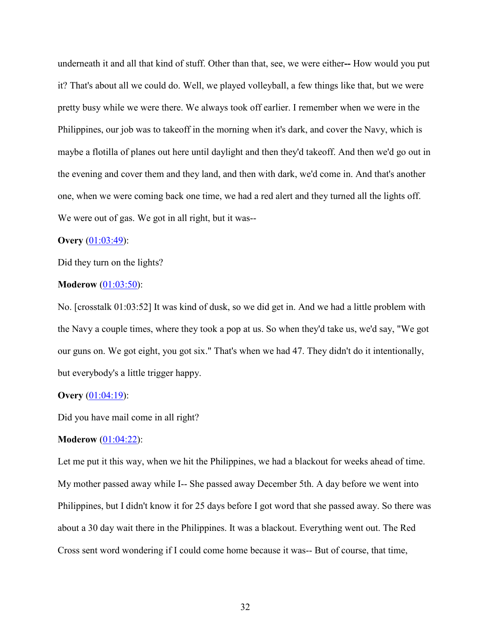underneath it and all that kind of stuff. Other than that, see, we were either**--** How would you put it? That's about all we could do. Well, we played volleyball, a few things like that, but we were pretty busy while we were there. We always took off earlier. I remember when we were in the Philippines, our job was to takeoff in the morning when it's dark, and cover the Navy, which is maybe a flotilla of planes out here until daylight and then they'd takeoff. And then we'd go out in the evening and cover them and they land, and then with dark, we'd come in. And that's another one, when we were coming back one time, we had a red alert and they turned all the lights off. We were out of gas. We got in all right, but it was--

### **Overy** [\(01:03:49\)](https://www.rev.com/transcript-editor/Edit?token=XkLe5roLfCrWNV_w85JQYkZ4nwdAlZLV9tbkPKAu2jFCuTNlOnTQXYuUs3FgJffy1WAc06m3qZe0uWB3zlhAeY5gKI4&loadFrom=DocumentDeeplink&ts=3829.23):

Did they turn on the lights?

#### **Moderow** [\(01:03:50\)](https://www.rev.com/transcript-editor/Edit?token=zHSDtyTIAlOvM9cFZDYWfkLtVFuDSoGr_QV5G24clO2PfCtWYjrZ2osmJm3ubHz3hwVtYebw6BW5wJg7u2oTOdjLYvQ&loadFrom=DocumentDeeplink&ts=3830.22):

No. [crosstalk 01:03:52] It was kind of dusk, so we did get in. And we had a little problem with the Navy a couple times, where they took a pop at us. So when they'd take us, we'd say, "We got our guns on. We got eight, you got six." That's when we had 47. They didn't do it intentionally, but everybody's a little trigger happy.

#### **Overy** [\(01:04:19\)](https://www.rev.com/transcript-editor/Edit?token=4z1P0C-kXL2hWB_0bcEWJtglu4ESHi7LxQu8FGwcVAbzqVKx2ArxMY1YEIwFZ13pvGi_Phwi_esdha4o6u5NlVGNIIw&loadFrom=DocumentDeeplink&ts=3859.73):

Did you have mail come in all right?

#### **Moderow** [\(01:04:22\)](https://www.rev.com/transcript-editor/Edit?token=xhMtbWibQg6I4ZVzrzLIrurlKw1SekI6dJ1aJMkKV9n_sYrgNQ1rhrZPT5HU_8v0poOgtRSW6biClRVirdKRiUWeuMw&loadFrom=DocumentDeeplink&ts=3862.06):

Let me put it this way, when we hit the Philippines, we had a blackout for weeks ahead of time. My mother passed away while I-- She passed away December 5th. A day before we went into Philippines, but I didn't know it for 25 days before I got word that she passed away. So there was about a 30 day wait there in the Philippines. It was a blackout. Everything went out. The Red Cross sent word wondering if I could come home because it was-- But of course, that time,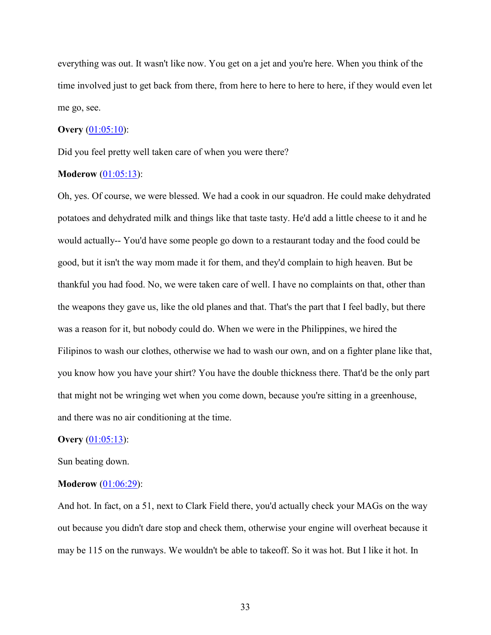everything was out. It wasn't like now. You get on a jet and you're here. When you think of the time involved just to get back from there, from here to here to here to here, if they would even let me go, see.

# **Overy** [\(01:05:10\)](https://www.rev.com/transcript-editor/Edit?token=BQmR-UNeidxIsaUssveBViOxLRQRb9UlIuOc9-JXgijp6i39R-WxoX9IOxS-6veArbalNMZ013pI9xsjjh-T-6OWtV4&loadFrom=DocumentDeeplink&ts=3910.2):

Did you feel pretty well taken care of when you were there?

### **Moderow** [\(01:05:13\)](https://www.rev.com/transcript-editor/Edit?token=LiN-1-XtZGPoQQnfhGhRLMaSmMdBn45hqmW4BQ1-JKXUZNPkwDxejJQ4shZA6yfq0Lny4B0Cg8ZEJCFavD4Vn8UJ3Fg&loadFrom=DocumentDeeplink&ts=3913.6):

Oh, yes. Of course, we were blessed. We had a cook in our squadron. He could make dehydrated potatoes and dehydrated milk and things like that taste tasty. He'd add a little cheese to it and he would actually-- You'd have some people go down to a restaurant today and the food could be good, but it isn't the way mom made it for them, and they'd complain to high heaven. But be thankful you had food. No, we were taken care of well. I have no complaints on that, other than the weapons they gave us, like the old planes and that. That's the part that I feel badly, but there was a reason for it, but nobody could do. When we were in the Philippines, we hired the Filipinos to wash our clothes, otherwise we had to wash our own, and on a fighter plane like that, you know how you have your shirt? You have the double thickness there. That'd be the only part that might not be wringing wet when you come down, because you're sitting in a greenhouse, and there was no air conditioning at the time.

#### **Overy** [\(01:05:13\)](https://www.rev.com/transcript-editor/Edit?token=DoFcF79w1wsMBUyHCEC8JLqjyHMWbSTxowRUCVm1sfnhym5sYwZiE8_lCzaVTw-Of3gEtT-_Byb3Q7hWihSM_7o1Gsk&loadFrom=DocumentDeeplink&ts=3913.6):

Sun beating down.

## **Moderow** [\(01:06:29\)](https://www.rev.com/transcript-editor/Edit?token=Od2-j3imA7siCo8czQUzeHYYT3FLungsN93dk-BURs5WrSMxIljWf2j2ycSiyK-WIMk4vWo4P_mzduLdjqcUkgKvXT0&loadFrom=DocumentDeeplink&ts=3989.63):

And hot. In fact, on a 51, next to Clark Field there, you'd actually check your MAGs on the way out because you didn't dare stop and check them, otherwise your engine will overheat because it may be 115 on the runways. We wouldn't be able to takeoff. So it was hot. But I like it hot. In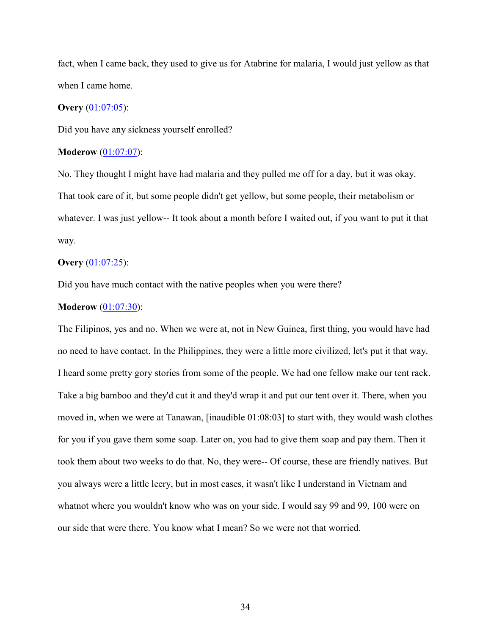fact, when I came back, they used to give us for Atabrine for malaria, I would just yellow as that when I came home.

# **Overy** [\(01:07:05\)](https://www.rev.com/transcript-editor/Edit?token=PEUpMKYjtta5Ilujlh44u3GKb7EOk1ScxbGDhlRWUHxyvEZeSqC-7LmHNNqoutQlKQCmc9M5XMTBZMdIt91PYwG0wEQ&loadFrom=DocumentDeeplink&ts=4025.71):

Did you have any sickness yourself enrolled?

### **Moderow** [\(01:07:07\)](https://www.rev.com/transcript-editor/Edit?token=0vTwdyNyd95pYOtKGbxEABASpgHpMUIWczNnQ66xyFDfQyYJuipZB4NwI7l5CQvgnUb938dDqU6HPcxHPUxhhyneejY&loadFrom=DocumentDeeplink&ts=4027.15):

No. They thought I might have had malaria and they pulled me off for a day, but it was okay. That took care of it, but some people didn't get yellow, but some people, their metabolism or whatever. I was just yellow-- It took about a month before I waited out, if you want to put it that way.

# **Overy** [\(01:07:25\)](https://www.rev.com/transcript-editor/Edit?token=CffyYSFtKZtoZiy-KdeCiVwvZsCa14BN_wwu0tl9_Dmx1dWViUHUWN5aAQsmsr3SDBh4Snm_koWb6lJLEXk24Yn_q6s&loadFrom=DocumentDeeplink&ts=4045.1):

Did you have much contact with the native peoples when you were there?

#### **Moderow** [\(01:07:30\)](https://www.rev.com/transcript-editor/Edit?token=mXwNdTr_KwtxP_PiquPJRjgrkhuIHRY-fDBECkq3xD6UxjEQ1ZACn8mkoZW5rZokh9jc9mQBs7bWuHJvn3AnPRQqS7k&loadFrom=DocumentDeeplink&ts=4050.2):

The Filipinos, yes and no. When we were at, not in New Guinea, first thing, you would have had no need to have contact. In the Philippines, they were a little more civilized, let's put it that way. I heard some pretty gory stories from some of the people. We had one fellow make our tent rack. Take a big bamboo and they'd cut it and they'd wrap it and put our tent over it. There, when you moved in, when we were at Tanawan, [inaudible 01:08:03] to start with, they would wash clothes for you if you gave them some soap. Later on, you had to give them soap and pay them. Then it took them about two weeks to do that. No, they were-- Of course, these are friendly natives. But you always were a little leery, but in most cases, it wasn't like I understand in Vietnam and whatnot where you wouldn't know who was on your side. I would say 99 and 99, 100 were on our side that were there. You know what I mean? So we were not that worried.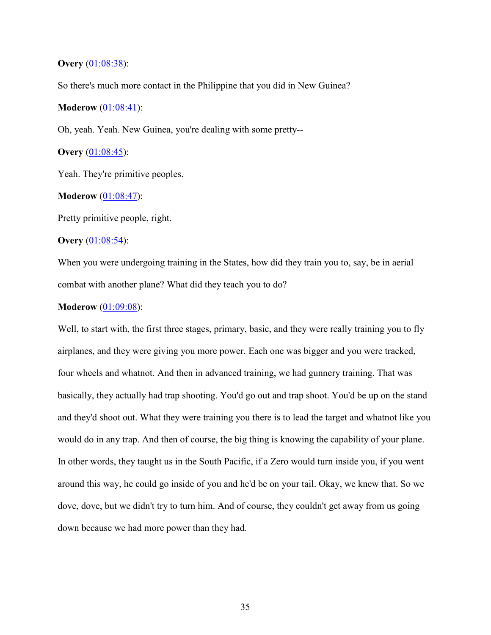# **Overy** [\(01:08:38\)](https://www.rev.com/transcript-editor/Edit?token=pgr5kRiRwhRW6goJ76Nf6W_tASjny4O_AkmaMVTSod4RNT2-2aJB8frC0ls7L7GWc85rhiSEKuTIfag_n_ITwpxvtWc&loadFrom=DocumentDeeplink&ts=4118.67):

So there's much more contact in the Philippine that you did in New Guinea?

# **Moderow** [\(01:08:41\)](https://www.rev.com/transcript-editor/Edit?token=sJrCaotYUycFwqC5YBzmxt0s82RiKxuzsEi95pwIuee_qKBm5nVmSIhj_vIavNRG8KfufdlVHei-5d4RvWHBc_1bTL8&loadFrom=DocumentDeeplink&ts=4121.51):

Oh, yeah. Yeah. New Guinea, you're dealing with some pretty--

# **Overy** [\(01:08:45\)](https://www.rev.com/transcript-editor/Edit?token=qOwB_WxAUM8M5-0ZKrXqR97_CwR6vpSibDJO5zAd6PMIAb4wBVSp5frWFj7-dAoT1-4sqvVCWo6q_uBjHS6j62tbR0w&loadFrom=DocumentDeeplink&ts=4125.04):

Yeah. They're primitive peoples.

# **Moderow** [\(01:08:47\)](https://www.rev.com/transcript-editor/Edit?token=o4NoHiVzFIKeRWXvnKS3ifOi5nzUIpFZLYYtrnrSg-z2XlQoSit8WWIzkGohaZdmVTVhmRq5hytydYsmC7Odirdgoik&loadFrom=DocumentDeeplink&ts=4127.09):

Pretty primitive people, right.

# **Overy** [\(01:08:54\)](https://www.rev.com/transcript-editor/Edit?token=WUotFZcGNd7NvAfl3FhL2HVeIhlJhg28bhOdxWpHO7Q7Vg6TYqvZXE-Yvbo5njR9NtaJ3mEB1P0YDNTcmslmu6AxhyU&loadFrom=DocumentDeeplink&ts=4134.3):

When you were undergoing training in the States, how did they train you to, say, be in aerial combat with another plane? What did they teach you to do?

## **Moderow** [\(01:09:08\)](https://www.rev.com/transcript-editor/Edit?token=IqCD4jbxb7jChLaYJEc9Hkm0EopWa3jvqw5oSF5WgtlodmC7sCVQcoT7GmoPK6TTEvB_Y6wLRcr9K2zmvaI79kxbbX8&loadFrom=DocumentDeeplink&ts=4148.72):

Well, to start with, the first three stages, primary, basic, and they were really training you to fly airplanes, and they were giving you more power. Each one was bigger and you were tracked, four wheels and whatnot. And then in advanced training, we had gunnery training. That was basically, they actually had trap shooting. You'd go out and trap shoot. You'd be up on the stand and they'd shoot out. What they were training you there is to lead the target and whatnot like you would do in any trap. And then of course, the big thing is knowing the capability of your plane. In other words, they taught us in the South Pacific, if a Zero would turn inside you, if you went around this way, he could go inside of you and he'd be on your tail. Okay, we knew that. So we dove, dove, but we didn't try to turn him. And of course, they couldn't get away from us going down because we had more power than they had.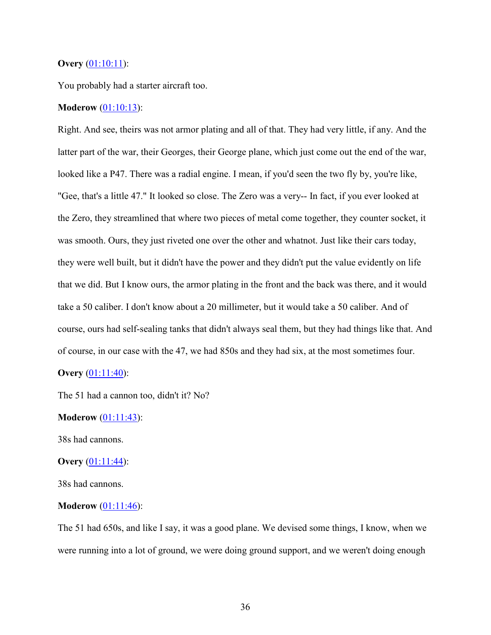## **Overy** [\(01:10:11\)](https://www.rev.com/transcript-editor/Edit?token=UJmqbY3sluFpEsI6MsxkpwgF88oKwqo6Qtw50xzB7h_jDAqUS1Dwmwd6dKgJpKfJFaDnlVuARSyP7I3pDoBYgSDWqpg&loadFrom=DocumentDeeplink&ts=4211.52):

You probably had a starter aircraft too.

# **Moderow** [\(01:10:13\)](https://www.rev.com/transcript-editor/Edit?token=lUJM_fRqQdpVMB445fs1e-3tQo8HuFtMAMLhMTN5CdnM7xi-7kGtvt3eivZfkP5tJLK-8KjF1wYW2CxgK7IR_MMe4RQ&loadFrom=DocumentDeeplink&ts=4213.4):

Right. And see, theirs was not armor plating and all of that. They had very little, if any. And the latter part of the war, their Georges, their George plane, which just come out the end of the war, looked like a P47. There was a radial engine. I mean, if you'd seen the two fly by, you're like, "Gee, that's a little 47." It looked so close. The Zero was a very-- In fact, if you ever looked at the Zero, they streamlined that where two pieces of metal come together, they counter socket, it was smooth. Ours, they just riveted one over the other and whatnot. Just like their cars today, they were well built, but it didn't have the power and they didn't put the value evidently on life that we did. But I know ours, the armor plating in the front and the back was there, and it would take a 50 caliber. I don't know about a 20 millimeter, but it would take a 50 caliber. And of course, ours had self-sealing tanks that didn't always seal them, but they had things like that. And of course, in our case with the 47, we had 850s and they had six, at the most sometimes four.

# **Overy** [\(01:11:40\)](https://www.rev.com/transcript-editor/Edit?token=emdRMF75ko47neHmCfOTmh80xTBY1ruroZnfK5b9WxWrD3gK42jyz4GXRMMDXwIsfW7f6y58yeraMCMoW6G0mo0JQPk&loadFrom=DocumentDeeplink&ts=4300.74):

The 51 had a cannon too, didn't it? No?

#### **Moderow** [\(01:11:43\)](https://www.rev.com/transcript-editor/Edit?token=ti66e9XPvhiDGzBtnEuWumU_bHArNYm3D1r-drSAahigjkuWQI8htfycTW6HWzPIMCtgx7voOSzzTdzBCLNtiu8BT_E&loadFrom=DocumentDeeplink&ts=4303.78):

38s had cannons.

#### **Overy** [\(01:11:44\)](https://www.rev.com/transcript-editor/Edit?token=ArwDVGb9fAq8GQiWvUb_7xCgOBVg5rrwe8zrCbhEuU4zIluFcVDlol8iA8kHYat8zlgufZ_sVpIUEuWvt-MSNJS94R8&loadFrom=DocumentDeeplink&ts=4304.89):

38s had cannons.

#### **Moderow**  $(01:11:46)$ :

The 51 had 650s, and like I say, it was a good plane. We devised some things, I know, when we were running into a lot of ground, we were doing ground support, and we weren't doing enough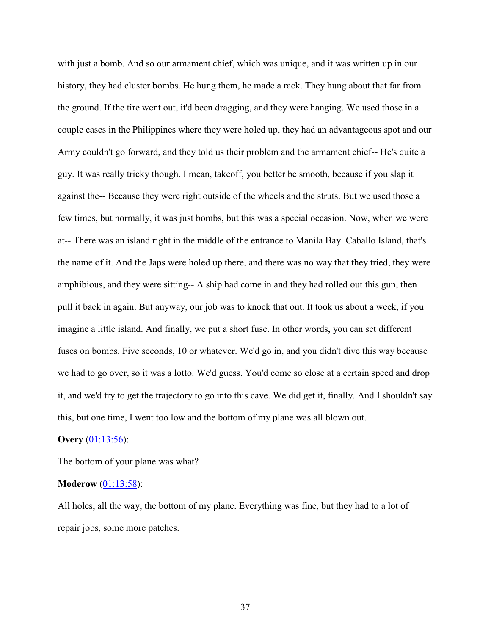with just a bomb. And so our armament chief, which was unique, and it was written up in our history, they had cluster bombs. He hung them, he made a rack. They hung about that far from the ground. If the tire went out, it'd been dragging, and they were hanging. We used those in a couple cases in the Philippines where they were holed up, they had an advantageous spot and our Army couldn't go forward, and they told us their problem and the armament chief-- He's quite a guy. It was really tricky though. I mean, takeoff, you better be smooth, because if you slap it against the-- Because they were right outside of the wheels and the struts. But we used those a few times, but normally, it was just bombs, but this was a special occasion. Now, when we were at-- There was an island right in the middle of the entrance to Manila Bay. Caballo Island, that's the name of it. And the Japs were holed up there, and there was no way that they tried, they were amphibious, and they were sitting-- A ship had come in and they had rolled out this gun, then pull it back in again. But anyway, our job was to knock that out. It took us about a week, if you imagine a little island. And finally, we put a short fuse. In other words, you can set different fuses on bombs. Five seconds, 10 or whatever. We'd go in, and you didn't dive this way because we had to go over, so it was a lotto. We'd guess. You'd come so close at a certain speed and drop it, and we'd try to get the trajectory to go into this cave. We did get it, finally. And I shouldn't say this, but one time, I went too low and the bottom of my plane was all blown out.

### **Overy** [\(01:13:56\)](https://www.rev.com/transcript-editor/Edit?token=cHVA5imLlP3IqI1Gru1QbZXsF_wrpWtmD2ePAgB1g7y3Y9qvy9LwmNZmAYBYmMxp-HTWWEuD5XndCWH8AYdHpx-91mY&loadFrom=DocumentDeeplink&ts=4436.39):

The bottom of your plane was what?

## **Moderow** [\(01:13:58\)](https://www.rev.com/transcript-editor/Edit?token=GHYqHKAWm_jV2OOk3Llfqa9_pOYVabdnZTT-UtTifAP711O_Olv2muitu4Z9lYWgxJCZZt54TAjRwaLOYEuf7M-q8Oo&loadFrom=DocumentDeeplink&ts=4438.36):

All holes, all the way, the bottom of my plane. Everything was fine, but they had to a lot of repair jobs, some more patches.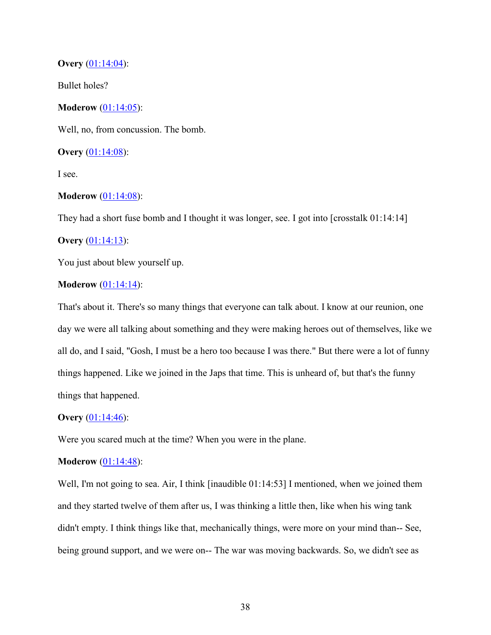## **Overy** [\(01:14:04\)](https://www.rev.com/transcript-editor/Edit?token=WfGVUzgxRU5kADQnc9IUzz-Ll8z6Gr3Pwm9XUYjekZjdzuj24zZqWkzZ3EM_VBIUc7kbAZcBD9EBnRVFJM8pGAu904o&loadFrom=DocumentDeeplink&ts=4444.33):

Bullet holes?

**Moderow** [\(01:14:05\)](https://www.rev.com/transcript-editor/Edit?token=Y3Vr7kaBYY9ihqjEeJMgvlaMB5mnRMiGr799fWS1fxuKp9g96QGzhfNX_sq--w_17D4bCvXFqblH3bPoGRyAnjQN2I8&loadFrom=DocumentDeeplink&ts=4445.29):

Well, no, from concussion. The bomb.

**Overy** [\(01:14:08\)](https://www.rev.com/transcript-editor/Edit?token=eV88qVDjQXvoSqsqOFeyeg0n3KfIPALupKjlQgbn6d1h9XJ7ooy_rcspta89AY4T3bxB-DPptIkTb-dBwY24PLh0GV4&loadFrom=DocumentDeeplink&ts=4448.91):

I see.

### **Moderow** [\(01:14:08\)](https://www.rev.com/transcript-editor/Edit?token=WzdowClaPVFZKoB4KyvgdtjRgQ8h9LiuqGk8BW2mZkOZWq3nm-3Ou0rC8y9k_NSGRe0swfBae6lurFnRF2jUHOssWu4&loadFrom=DocumentDeeplink&ts=4448.97):

They had a short fuse bomb and I thought it was longer, see. I got into [crosstalk 01:14:14]

# **Overy** [\(01:14:13\)](https://www.rev.com/transcript-editor/Edit?token=lAeLoFWHbusw5apIZITzVsLAF5ZasQOQBKFDhVtKRk_KfumYRCUuBRxarTLXeI6KPChqzwOD7LTICKygEiusT8dHcEA&loadFrom=DocumentDeeplink&ts=4453.61):

You just about blew yourself up.

## **Moderow** [\(01:14:14\)](https://www.rev.com/transcript-editor/Edit?token=DaTY9_lJ9n_Rdgv1pkFNwTZ5UV_OdpO0G3CMlwtAN342tnNb4rTyFz0uEpEqiYXfQ6M2R1EuT-VHlJs1jPlzHWALr2c&loadFrom=DocumentDeeplink&ts=4454.62):

That's about it. There's so many things that everyone can talk about. I know at our reunion, one day we were all talking about something and they were making heroes out of themselves, like we all do, and I said, "Gosh, I must be a hero too because I was there." But there were a lot of funny things happened. Like we joined in the Japs that time. This is unheard of, but that's the funny things that happened.

### **Overy** [\(01:14:46\)](https://www.rev.com/transcript-editor/Edit?token=VpMdqUa4GlH4gFbzd3sNu4jq3UFaAdcD_xyReq-TpyVn_Q8JSf9hCTobNIlPn657BfcqRh5g2jhIjJblGICY-fYMuoc&loadFrom=DocumentDeeplink&ts=4486.41):

Were you scared much at the time? When you were in the plane.

# **Moderow** [\(01:14:48\)](https://www.rev.com/transcript-editor/Edit?token=MvE8kN8dXcTMP88gfCAF2H45hWpNY33ki_7EpS7frpqrFvHztsTjm7mQepYtS7YQ5UbUZQNklAHo_QFg9i-yvj1sipc&loadFrom=DocumentDeeplink&ts=4488.6):

Well, I'm not going to sea. Air, I think [inaudible 01:14:53] I mentioned, when we joined them and they started twelve of them after us, I was thinking a little then, like when his wing tank didn't empty. I think things like that, mechanically things, were more on your mind than-- See, being ground support, and we were on-- The war was moving backwards. So, we didn't see as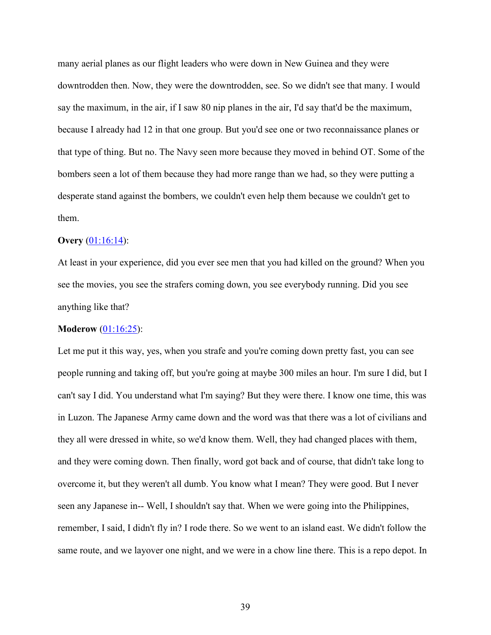many aerial planes as our flight leaders who were down in New Guinea and they were downtrodden then. Now, they were the downtrodden, see. So we didn't see that many. I would say the maximum, in the air, if I saw 80 nip planes in the air, I'd say that'd be the maximum, because I already had 12 in that one group. But you'd see one or two reconnaissance planes or that type of thing. But no. The Navy seen more because they moved in behind OT. Some of the bombers seen a lot of them because they had more range than we had, so they were putting a desperate stand against the bombers, we couldn't even help them because we couldn't get to them.

### **Overy** [\(01:16:14\)](https://www.rev.com/transcript-editor/Edit?token=amBYluYZ6X0pp3lkXBzeQtnSuH3aqhL6lfMKXriGUY6wNocdVue8PafrWBthWZOeCJMBMPIgc7N6quxFMKXtfumdpno&loadFrom=DocumentDeeplink&ts=4574.71):

At least in your experience, did you ever see men that you had killed on the ground? When you see the movies, you see the strafers coming down, you see everybody running. Did you see anything like that?

#### **Moderow** [\(01:16:25\)](https://www.rev.com/transcript-editor/Edit?token=W6IQSnRRVZSJlBxbAuxttEx9JGkOx6N8qhJ7wugDP0HizpIWPZhlpEgeRDJn0-NwaBAnIvVw-Z2YxgBNLwrDJvVzyek&loadFrom=DocumentDeeplink&ts=4585.68):

Let me put it this way, yes, when you strafe and you're coming down pretty fast, you can see people running and taking off, but you're going at maybe 300 miles an hour. I'm sure I did, but I can't say I did. You understand what I'm saying? But they were there. I know one time, this was in Luzon. The Japanese Army came down and the word was that there was a lot of civilians and they all were dressed in white, so we'd know them. Well, they had changed places with them, and they were coming down. Then finally, word got back and of course, that didn't take long to overcome it, but they weren't all dumb. You know what I mean? They were good. But I never seen any Japanese in-- Well, I shouldn't say that. When we were going into the Philippines, remember, I said, I didn't fly in? I rode there. So we went to an island east. We didn't follow the same route, and we layover one night, and we were in a chow line there. This is a repo depot. In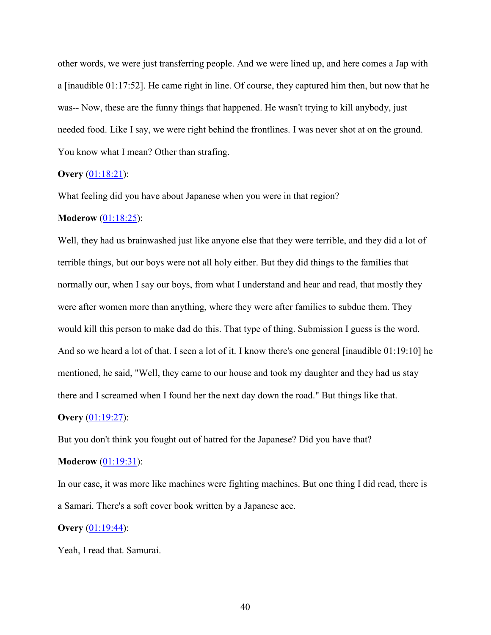other words, we were just transferring people. And we were lined up, and here comes a Jap with a [inaudible 01:17:52]. He came right in line. Of course, they captured him then, but now that he was-- Now, these are the funny things that happened. He wasn't trying to kill anybody, just needed food. Like I say, we were right behind the frontlines. I was never shot at on the ground. You know what I mean? Other than strafing.

# **Overy** [\(01:18:21\)](https://www.rev.com/transcript-editor/Edit?token=TEzoSfoertgawlkP0T4plMVsrgpQNzdv_48mKKSWgECScSDI4Sp4P7Z2cS9TcH3DMTpszPVlRjT1kQJN-krcqzpZxwc&loadFrom=DocumentDeeplink&ts=4701.21):

What feeling did you have about Japanese when you were in that region?

#### **Moderow** [\(01:18:25\)](https://www.rev.com/transcript-editor/Edit?token=NBlCM3QJGF2P0DmSXABdJ6nrTxO7wp-mr5GOpBZYafsuyislz0Nvn6-5-zMvKKVBbKhc332JQP1fp8vgIVenDb26uEM&loadFrom=DocumentDeeplink&ts=4705.46):

Well, they had us brainwashed just like anyone else that they were terrible, and they did a lot of terrible things, but our boys were not all holy either. But they did things to the families that normally our, when I say our boys, from what I understand and hear and read, that mostly they were after women more than anything, where they were after families to subdue them. They would kill this person to make dad do this. That type of thing. Submission I guess is the word. And so we heard a lot of that. I seen a lot of it. I know there's one general [inaudible 01:19:10] he mentioned, he said, "Well, they came to our house and took my daughter and they had us stay there and I screamed when I found her the next day down the road." But things like that.

#### **Overy** [\(01:19:27\)](https://www.rev.com/transcript-editor/Edit?token=YEF0UhTHhvttXyLKMFyTnxlmQ6cBJXUdQiNugucTup1GeBEFRObN5wFTisaKFopjzGbgs5Ss_teKfKQdIhnjiCLIXzE&loadFrom=DocumentDeeplink&ts=4767.02):

But you don't think you fought out of hatred for the Japanese? Did you have that?

#### **Moderow** [\(01:19:31\)](https://www.rev.com/transcript-editor/Edit?token=7BrMLzqZeCk10E_7OmhTaX34hL4V5-jSggQN6LibiCqm0C4K9XbYDKFB6mis_ihrZKotSSiSficZNaMFUakmguYKYCg&loadFrom=DocumentDeeplink&ts=4771.86):

In our case, it was more like machines were fighting machines. But one thing I did read, there is a Samari. There's a soft cover book written by a Japanese ace.

#### **Overy** [\(01:19:44\)](https://www.rev.com/transcript-editor/Edit?token=aozEHzHvoCUKOojSQkEtTZRGwAMAnPSwMjB4xmyDFMttcQMyUTO0P8LpiqXL4ZMZc_V5GOoAO5H_BDtXZPGw-krU0BE&loadFrom=DocumentDeeplink&ts=4784.15):

Yeah, I read that. Samurai.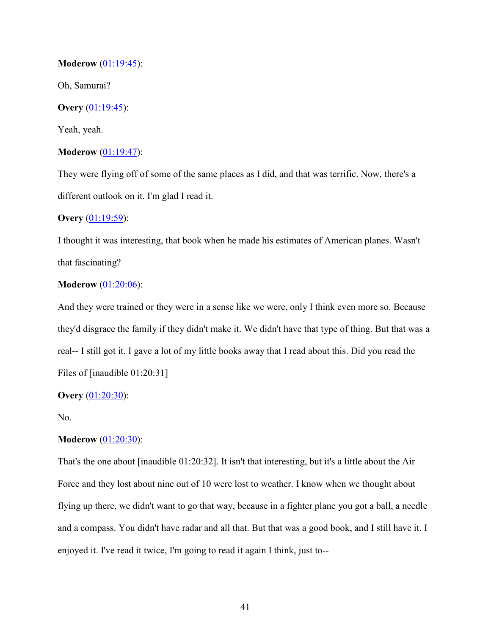# **Moderow** [\(01:19:45\)](https://www.rev.com/transcript-editor/Edit?token=dbocSv3OHWvM-aN4Sf5TG9kWp9xOusvOk7TAvnL7sJD_4Eq1BCfAjt5NnlpB2C0rX5R4gMc1urEDr9CRU21YYXpGtbQ&loadFrom=DocumentDeeplink&ts=4785.08):

Oh, Samurai?

# **Overy** [\(01:19:45\)](https://www.rev.com/transcript-editor/Edit?token=oKDLz9Wxu90h9WiNYjxHwzzuG31uBlnfJZ4oH7cD-w9LXwuMulIAPblaKzeRQaiWZHXho-4h0ybLT2-AoFgWFo09cXE&loadFrom=DocumentDeeplink&ts=4785.78):

Yeah, yeah.

# **Moderow** [\(01:19:47\)](https://www.rev.com/transcript-editor/Edit?token=bCKwoCJOjISKcfXDnShyfsR6F3zQEFPgsQvHjGVV6wWk77tznXrSxNciZ0bteuuaLcskdau3bC6SpiDqVGFAAJb9nxI&loadFrom=DocumentDeeplink&ts=4787.3):

They were flying off of some of the same places as I did, and that was terrific. Now, there's a different outlook on it. I'm glad I read it.

## **Overy** [\(01:19:59\)](https://www.rev.com/transcript-editor/Edit?token=4ObcGE07-rxzjujwU6byZNIrCcMbCXSU1kyO0SXFRM__iiAzoY7uL-CJnLUECmEX5w-w5wktjwe9S84SNcVrmWrBLxM&loadFrom=DocumentDeeplink&ts=4799.41):

I thought it was interesting, that book when he made his estimates of American planes. Wasn't that fascinating?

## **Moderow** [\(01:20:06\)](https://www.rev.com/transcript-editor/Edit?token=beWSPE2QaasfLUCvchv5XscxFi30-VeFEHK5dloJeO6jEqvJVw9WcZ8FVWdAlnaLTbtvVIICrowTAhm8yuOmYsa3fEM&loadFrom=DocumentDeeplink&ts=4806.79):

And they were trained or they were in a sense like we were, only I think even more so. Because they'd disgrace the family if they didn't make it. We didn't have that type of thing. But that was a real-- I still got it. I gave a lot of my little books away that I read about this. Did you read the Files of [inaudible 01:20:31]

### **Overy** [\(01:20:30\)](https://www.rev.com/transcript-editor/Edit?token=e5hSzp2Fqlw4DUzVro-ipFl8DNh8SKhcwFiOUNcUijQ6SywdCLvNniP0p_oho1n_7G-8ujoq3_t9ovyh1DCkUA1Ijnw&loadFrom=DocumentDeeplink&ts=4830.9):

No.

# **Moderow** [\(01:20:30\)](https://www.rev.com/transcript-editor/Edit?token=rDleppNwWZReeM1jpF-DtXQSEipqQBXpqFZTlgJ2qk4F-24k6YYAzB47YcWF4wU6AFz0IL4tRXsR28NSO1M3uCjgBns&loadFrom=DocumentDeeplink&ts=4830.92):

That's the one about [inaudible 01:20:32]. It isn't that interesting, but it's a little about the Air Force and they lost about nine out of 10 were lost to weather. I know when we thought about flying up there, we didn't want to go that way, because in a fighter plane you got a ball, a needle and a compass. You didn't have radar and all that. But that was a good book, and I still have it. I enjoyed it. I've read it twice, I'm going to read it again I think, just to--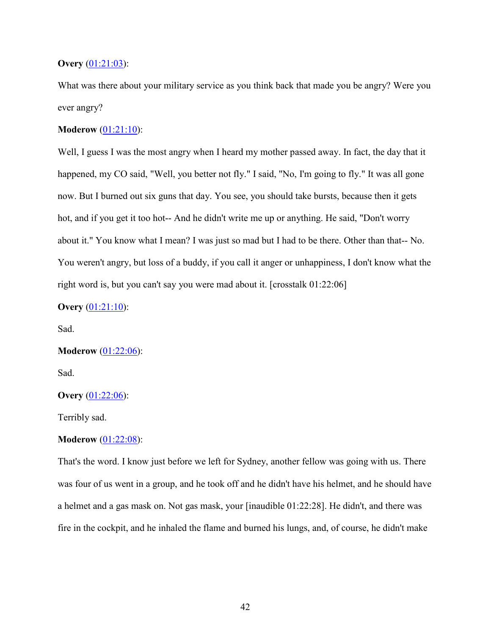# **Overy** [\(01:21:03\)](https://www.rev.com/transcript-editor/Edit?token=7uo-ulRheshoqb4WWv_0X-G0GKkgrzWDzVFm7m698-WNt3MrOdhf_GUfqEV97Ab8M7Tu72GwDjgeupfCT0I81GAaHBA&loadFrom=DocumentDeeplink&ts=4863.17):

What was there about your military service as you think back that made you be angry? Were you ever angry?

# **Moderow** [\(01:21:10\)](https://www.rev.com/transcript-editor/Edit?token=AosNuWquZgNBqyuhURlfH-RjkfrEeDLh_X_YjykR5-SyyO-5VYXcL0EyrDzVU41N6qFaYxDajQitYc2aL2O1aMMRNkc&loadFrom=DocumentDeeplink&ts=4870.31):

Well, I guess I was the most angry when I heard my mother passed away. In fact, the day that it happened, my CO said, "Well, you better not fly." I said, "No, I'm going to fly." It was all gone now. But I burned out six guns that day. You see, you should take bursts, because then it gets hot, and if you get it too hot-- And he didn't write me up or anything. He said, "Don't worry about it." You know what I mean? I was just so mad but I had to be there. Other than that-- No. You weren't angry, but loss of a buddy, if you call it anger or unhappiness, I don't know what the right word is, but you can't say you were mad about it. [crosstalk 01:22:06]

# **Overy** [\(01:21:10\)](https://www.rev.com/transcript-editor/Edit?token=PjyLnprBrbSg0GVSVvIWMF1_1N7UekJoR593WQIiGX8cwQverCQcDqcdJP8pX2KhaLRwBVBJiBuTzEQ1zCwJcpMJRpc&loadFrom=DocumentDeeplink&ts=4870.31):

Sad.

### **Moderow** [\(01:22:06\)](https://www.rev.com/transcript-editor/Edit?token=SBXCx43gMfeuVmE8JhFnujldvigRGnp26ehV_iLp7tNkFKrBBneIO94tQD1T_V0Emi2rGxUm7Xzq-T59kBDgejXsif8&loadFrom=DocumentDeeplink&ts=4926.34):

Sad.

## **Overy** [\(01:22:06\)](https://www.rev.com/transcript-editor/Edit?token=1A3YiB2e3qimC4b6wpQxIBzuFJBP8ibmafWzQI8tbhdlYw-4JcLDTSqqCyEwKa50zvk5g9L-I2LsdrJNQfVHYSrmPCs&loadFrom=DocumentDeeplink&ts=4926.9):

Terribly sad.

# **Moderow** [\(01:22:08\)](https://www.rev.com/transcript-editor/Edit?token=nZLkGyHHKw6IH7CqpZpz9APpikXxDe51zUip9aCkuf-bTR8VN05Unc6gVzSs-uPH0iu1UqP9nzCXALXiwegtO-ytrc0&loadFrom=DocumentDeeplink&ts=4928.16):

That's the word. I know just before we left for Sydney, another fellow was going with us. There was four of us went in a group, and he took off and he didn't have his helmet, and he should have a helmet and a gas mask on. Not gas mask, your [inaudible 01:22:28]. He didn't, and there was fire in the cockpit, and he inhaled the flame and burned his lungs, and, of course, he didn't make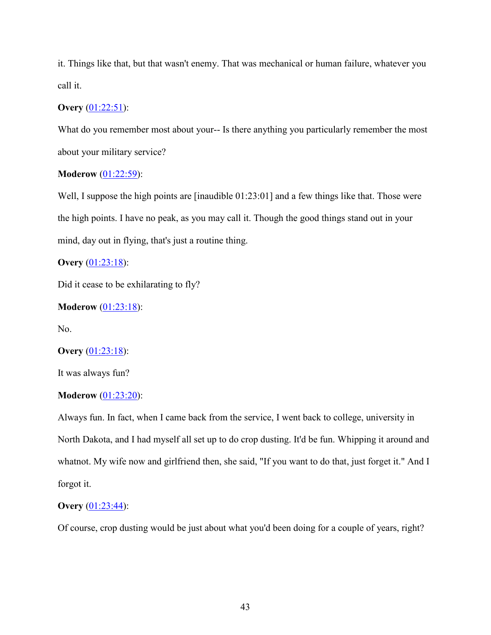it. Things like that, but that wasn't enemy. That was mechanical or human failure, whatever you call it.

# **Overy** [\(01:22:51\)](https://www.rev.com/transcript-editor/Edit?token=qjdKzZVe9OZUUzQyNhcbIlKUDW1yJ2zmlrji_A9neFUZ0DQcx7Me3H-CePS-cyx2gz1BOuOK6v0xQ0NQU-sodg-VtH0&loadFrom=DocumentDeeplink&ts=4971.45):

What do you remember most about your-- Is there anything you particularly remember the most about your military service?

# **Moderow** [\(01:22:59\)](https://www.rev.com/transcript-editor/Edit?token=Vkvcboi39NvEDYRznNWTIV2duZfYUB_NeRsEzbgAKtY0IGN82RoozqYpxAxxDlYjl3NBS9dFE9TPB9_Lf5FFQJOkEf8&loadFrom=DocumentDeeplink&ts=4979.45):

Well, I suppose the high points are [inaudible  $01:23:01$ ] and a few things like that. Those were the high points. I have no peak, as you may call it. Though the good things stand out in your mind, day out in flying, that's just a routine thing.

**Overy** [\(01:23:18\)](https://www.rev.com/transcript-editor/Edit?token=_KCz7w_vTLKV1uRul-pa1j6cm0W59DJPG24HpNvdlhiu5SNu23IWNjwFxXGyhRzpOS89DrKwbwV_8MKgqoz8NBF66l4&loadFrom=DocumentDeeplink&ts=4998.03):

Did it cease to be exhilarating to fly?

**Moderow** [\(01:23:18\)](https://www.rev.com/transcript-editor/Edit?token=f7l9cLfd4BE339j7XzzlxpvAhwgiftgC5Cjk0cOtgJnMVk4LokddRozPqMwnBkAYfxcnd_KBAfehod9CzHh3F_bJm-c&loadFrom=DocumentDeeplink&ts=4998.39):

No.

## **Overy** [\(01:23:18\)](https://www.rev.com/transcript-editor/Edit?token=hK2FNwDbIM8xdhqB0RPJd2f4IJz0lBVQNaNU6W32UUMN9FAzXykemnKwOplOPDAFsENvh3pAm2hToAK0DvIQlJNo9IA&loadFrom=DocumentDeeplink&ts=4998.43):

It was always fun?

## **Moderow** [\(01:23:20\)](https://www.rev.com/transcript-editor/Edit?token=fcHGgiKPkiR9Dxwwi3Dm-Mc-c7TThjz-_0-sX6Gb_rlYsAT3yXEgfxGCWB128_2r8xArHaC4MXyQdRuiJRniJGNh40w&loadFrom=DocumentDeeplink&ts=5000.84):

Always fun. In fact, when I came back from the service, I went back to college, university in North Dakota, and I had myself all set up to do crop dusting. It'd be fun. Whipping it around and whatnot. My wife now and girlfriend then, she said, "If you want to do that, just forget it." And I forgot it.

# **Overy** [\(01:23:44\)](https://www.rev.com/transcript-editor/Edit?token=TSkvvlQym2sPDiT4L-xHMLT8lKjOmFwkNxVYZPhJ4CrzA89i9urOphT-sE2-Z70DEA4DginUhWpequYtgWz1UvXp7E0&loadFrom=DocumentDeeplink&ts=5024.87):

Of course, crop dusting would be just about what you'd been doing for a couple of years, right?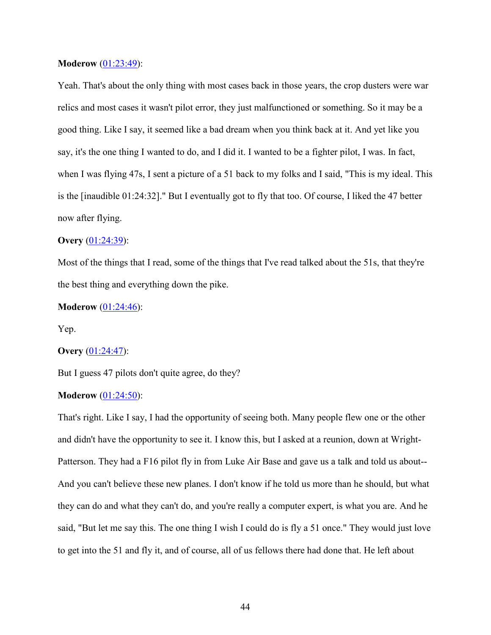### **Moderow** [\(01:23:49\)](https://www.rev.com/transcript-editor/Edit?token=RrlsBJ_8ujF8qC1ie0Vlkx3TvoZDgSXttesVfTh8Gjj5w0gZ-lmSyU3xy2b-ToKlWwvN4pgxViGv-zsfV9CdkLq7QE4&loadFrom=DocumentDeeplink&ts=5029.11):

Yeah. That's about the only thing with most cases back in those years, the crop dusters were war relics and most cases it wasn't pilot error, they just malfunctioned or something. So it may be a good thing. Like I say, it seemed like a bad dream when you think back at it. And yet like you say, it's the one thing I wanted to do, and I did it. I wanted to be a fighter pilot, I was. In fact, when I was flying 47s, I sent a picture of a 51 back to my folks and I said, "This is my ideal. This is the [inaudible 01:24:32]." But I eventually got to fly that too. Of course, I liked the 47 better now after flying.

### **Overy** [\(01:24:39\)](https://www.rev.com/transcript-editor/Edit?token=XOowDmIABM0ZHhqxdkBjKa8fNUXWAgyL2I_-eGbQfUuMjwqgW0yFHamDwdqALD4KEFBDf7nz77B9oUgsw4ErCcCOzuI&loadFrom=DocumentDeeplink&ts=5079.43):

Most of the things that I read, some of the things that I've read talked about the 51s, that they're the best thing and everything down the pike.

#### **Moderow** [\(01:24:46\)](https://www.rev.com/transcript-editor/Edit?token=pwXjkNFlQurABPCvhwfdQtmSBsWMtKh2ZMde5ukbIEa2DAnB0h0tK-W5QDrYxqHn0VQOa1UDkILUSt3tPsRc6Wejmao&loadFrom=DocumentDeeplink&ts=5086.17):

Yep.

#### **Overy** [\(01:24:47\)](https://www.rev.com/transcript-editor/Edit?token=8PZNQRwKckoPrFXvAn1X3Di1UigjA-KwFKk373cdYMP25efG50QnxK94b0OBRxWKlsBPg9p7RgQ9OyO0Xpn1oy3qNbA&loadFrom=DocumentDeeplink&ts=5087.56):

But I guess 47 pilots don't quite agree, do they?

## **Moderow** [\(01:24:50\)](https://www.rev.com/transcript-editor/Edit?token=dY7HeendkF8SCXT3CiqKpJqARu_GjZShnvQ4ZLH0zzAAMv9CE3uZlprRsFAOpWxCYVBQVmOjhGXhCWH3Mid6AjbKTf8&loadFrom=DocumentDeeplink&ts=5090.39):

That's right. Like I say, I had the opportunity of seeing both. Many people flew one or the other and didn't have the opportunity to see it. I know this, but I asked at a reunion, down at Wright-Patterson. They had a F16 pilot fly in from Luke Air Base and gave us a talk and told us about-- And you can't believe these new planes. I don't know if he told us more than he should, but what they can do and what they can't do, and you're really a computer expert, is what you are. And he said, "But let me say this. The one thing I wish I could do is fly a 51 once." They would just love to get into the 51 and fly it, and of course, all of us fellows there had done that. He left about